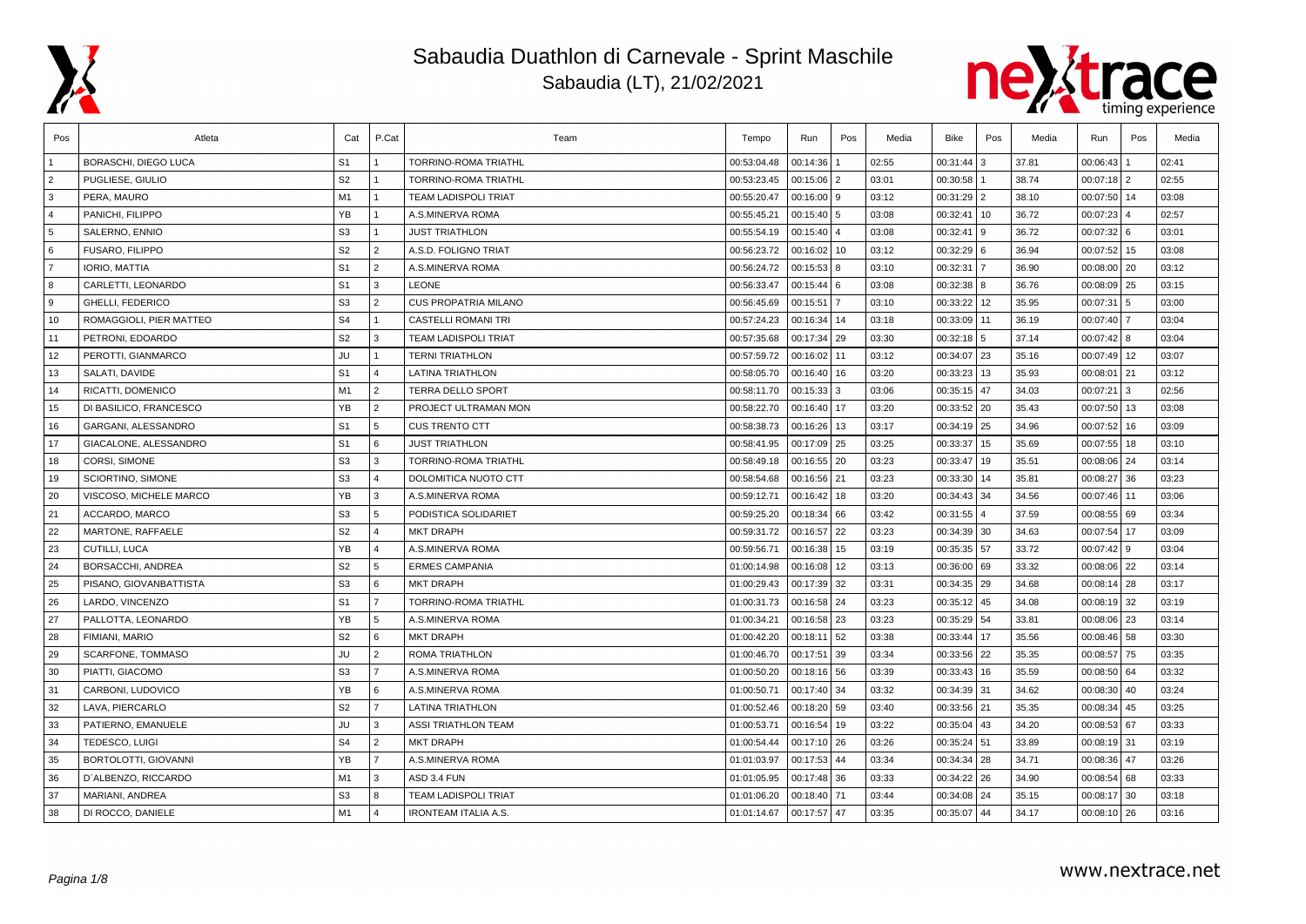



| Pos            | Atleta                     | Cat            | P.Cat                   | Team                        | Tempo       | Run          | Pos            | Media | Bike         | Pos | Media | Run             | Pos  | Media |
|----------------|----------------------------|----------------|-------------------------|-----------------------------|-------------|--------------|----------------|-------|--------------|-----|-------|-----------------|------|-------|
|                | BORASCHI, DIEGO LUCA       | S <sub>1</sub> |                         | TORRINO-ROMA TRIATHL        | 00:53:04.48 | 00:14:36     |                | 02:55 | 00:31:44     | 3   | 37.81 | 00:06:43        |      | 02:41 |
| $\overline{2}$ | PUGLIESE, GIULIO           | S <sub>2</sub> |                         | TORRINO-ROMA TRIATHL        | 00:53:23.45 | 00:15:06     | $\overline{2}$ | 03:01 | 00:30:58     |     | 38.74 | $00:07:18$   2  |      | 02:55 |
| 3              | PERA, MAURO                | M1             | $\mathbf{1}$            | TEAM LADISPOLI TRIAT        | 00:55:20.47 | $00:16:00$ 9 |                | 03:12 | 00:31:29 2   |     | 38.10 | 00:07:50 14     |      | 03:08 |
| $\overline{4}$ | PANICHI, FILIPPO           | YB             | $\mathbf{1}$            | A.S.MINERVA ROMA            | 00:55:45.21 | $00:15:40$ 5 |                | 03:08 | 00:32:41     | 10  | 36.72 | $00:07:23$ 4    |      | 02:57 |
| 5              | SALERNO, ENNIO             | S <sub>3</sub> | $\mathbf{1}$            | <b>JUST TRIATHLON</b>       | 00:55:54.19 | 00:15:40     | $\overline{4}$ | 03:08 | 00:32:41     |     | 36.72 | $00:07:32$ 6    |      | 03:01 |
| 6              | FUSARO, FILIPPO            | S <sub>2</sub> | $\overline{2}$          | A.S.D. FOLIGNO TRIAT        | 00:56:23.72 | 00:16:02     | 10             | 03:12 | 00:32:29 6   |     | 36.94 | 00:07:52   15   |      | 03:08 |
| $\overline{7}$ | IORIO, MATTIA              | S <sub>1</sub> | $\overline{2}$          | A.S.MINERVA ROMA            | 00:56:24.72 | 00:15:53     | 8              | 03:10 | 00:32:31     |     | 36.90 | $00:08:00$   20 |      | 03:12 |
| 8              | CARLETTI, LEONARDO         | S <sub>1</sub> | 3                       | <b>LEONE</b>                | 00:56:33.47 | 00:15:44     | 6              | 03:08 | 00:32:38 8   |     | 36.76 | 00:08:09 25     |      | 03:15 |
| 9              | GHELLI, FEDERICO           | S <sub>3</sub> | $\overline{2}$          | <b>CUS PROPATRIA MILANO</b> | 00:56:45.69 | 00:15:51     |                | 03:10 | 00:33:22     | 12  | 35.95 | 00:07:31        | l 5  | 03:00 |
| 10             | ROMAGGIOLI. PIER MATTEO    | S <sub>4</sub> | $\mathbf{1}$            | <b>CASTELLI ROMANI TRI</b>  | 00:57:24.23 | 00:16:34     | 14             | 03:18 | 00:33:09 11  |     | 36.19 | 00:07:40 7      |      | 03:04 |
| 11             | PETRONI, EDOARDO           | S <sub>2</sub> | 3                       | <b>TEAM LADISPOLI TRIAT</b> | 00:57:35.68 | 00:17:34     | 29             | 03:30 | $00:32:18$ 5 |     | 37.14 | $00:07:42$ 8    |      | 03:04 |
| 12             | PEROTTI, GIANMARCO         | JU             | $\mathbf{1}$            | <b>TERNI TRIATHLON</b>      | 00:57:59.72 | 00:16:02     | 11             | 03:12 | 00:34:07 23  |     | 35.16 | 00:07:49 12     |      | 03:07 |
| 13             | SALATI, DAVIDE             | S <sub>1</sub> | $\overline{4}$          | <b>LATINA TRIATHLON</b>     | 00:58:05.70 | 00:16:40     | 16             | 03:20 | 00:33:23 13  |     | 35.93 | 00:08:01        | l 21 | 03:12 |
| 14             | RICATTI, DOMENICO          | M1             | 2                       | <b>TERRA DELLO SPORT</b>    | 00:58:11.70 | 00:15:33     | 3              | 03:06 | 00:35:15     | 47  | 34.03 | 00:07:21        | 3    | 02:56 |
| 15             | DI BASILICO, FRANCESCO     | YB             | $\overline{2}$          | PROJECT ULTRAMAN MON        | 00:58:22.70 | 00:16:40     | 17             | 03:20 | 00:33:52     | 20  | 35.43 | 00:07:50 13     |      | 03:08 |
| 16             | <b>GARGANI, ALESSANDRO</b> | S <sub>1</sub> | 5                       | <b>CUS TRENTO CTT</b>       | 00:58:38.73 | 00:16:26     | 13             | 03:17 | 00:34:19 25  |     | 34.96 | 00:07:52 16     |      | 03:09 |
| 17             | GIACALONE, ALESSANDRO      | S <sub>1</sub> | 6                       | <b>JUST TRIATHLON</b>       | 00:58:41.95 | 00:17:09     | 25             | 03:25 | 00:33:37 15  |     | 35.69 | 00:07:55 18     |      | 03:10 |
| 18             | CORSI, SIMONE              | S <sub>3</sub> | 3                       | TORRINO-ROMA TRIATHL        | 00:58:49.18 | 00:16:55     | 20             | 03:23 | 00:33:47 19  |     | 35.51 | $00:08:06$ 24   |      | 03:14 |
| 19             | SCIORTINO, SIMONE          | S <sub>3</sub> | $\overline{4}$          | DOLOMITICA NUOTO CTT        | 00:58:54.68 | 00:16:56     | 21             | 03:23 | 00:33:30     | 14  | 35.81 | 00:08:27        | 36   | 03:23 |
| 20             | VISCOSO, MICHELE MARCO     | YB             | 3                       | A.S.MINERVA ROMA            | 00:59:12.71 | 00:16:42     | 18             | 03:20 | 00:34:43 34  |     | 34.56 | 00:07:46 11     |      | 03:06 |
| 21             | ACCARDO, MARCO             | S <sub>3</sub> | 5                       | PODISTICA SOLIDARIET        | 00:59:25.20 | 00:18:34 66  |                | 03:42 | 00:31:55 4   |     | 37.59 | $00:08:55$ 69   |      | 03:34 |
| 22             | MARTONE, RAFFAELE          | S <sub>2</sub> | $\overline{4}$          | <b>MKT DRAPH</b>            | 00:59:31.72 | 00:16:57     | 22             | 03:23 | 00:34:39 30  |     | 34.63 | 00:07:54        | 17   | 03:09 |
| 23             | CUTILLI, LUCA              | YB             | $\overline{\mathbf{A}}$ | A.S.MINERVA ROMA            | 00:59:56.71 | 00:16:38     | 15             | 03:19 | 00:35:35 57  |     | 33.72 | $00:07:42$ 9    |      | 03:04 |
| 24             | BORSACCHI, ANDREA          | S <sub>2</sub> | 5                       | <b>ERMES CAMPANIA</b>       | 01:00:14.98 | 00:16:08     | 12             | 03:13 | 00:36:00 69  |     | 33.32 | $00:08:06$   22 |      | 03:14 |
| 25             | PISANO, GIOVANBATTISTA     | S <sub>3</sub> | 6                       | <b>MKT DRAPH</b>            | 01:00:29.43 | 00:17:39     | 32             | 03:31 | 00:34:35 29  |     | 34.68 | $00:08:14$ 28   |      | 03:17 |
| 26             | LARDO, VINCENZO            | S <sub>1</sub> | $\overline{7}$          | TORRINO-ROMA TRIATHL        | 01:00:31.73 | 00:16:58     | 24             | 03:23 | 00:35:12 45  |     | 34.08 | $00:08:19$ 32   |      | 03:19 |
| 27             | PALLOTTA, LEONARDO         | YB             | 5                       | A.S.MINERVA ROMA            | 01:00:34.21 | 00:16:58     | 23             | 03:23 | 00:35:29     | 54  | 33.81 | $00:08:06$ 23   |      | 03:14 |
| 28             | FIMIANI, MARIO             | S <sub>2</sub> | 6                       | <b>MKT DRAPH</b>            | 01:00:42.20 | 00:18:11     | 52             | 03:38 | 00:33:44     | 17  | 35.56 | $00:08:46$ 58   |      | 03:30 |
| 29             | SCARFONE, TOMMASO          | JU             | $\overline{2}$          | ROMA TRIATHLON              | 01:00:46.70 | 00:17:51     | 39             | 03:34 | 00:33:56 22  |     | 35.35 | 00:08:57 75     |      | 03:35 |
| 30             | PIATTI, GIACOMO            | S <sub>3</sub> | $\overline{7}$          | A.S.MINERVA ROMA            | 01:00:50.20 | 00:18:16 56  |                | 03:39 | 00:33:43     | 16  | 35.59 | $00:08:50$ 64   |      | 03:32 |
| 31             | CARBONI, LUDOVICO          | YB             | 6                       | A.S.MINERVA ROMA            | 01:00:50.71 | 00:17:40     | 34             | 03:32 | 00:34:39     | 31  | 34.62 | $00:08:30$ 40   |      | 03:24 |
| 32             | LAVA, PIERCARLO            | S <sub>2</sub> | $\overline{7}$          | <b>LATINA TRIATHLON</b>     | 01:00:52.46 | 00:18:20     | 59             | 03:40 | 00:33:56     | 21  | 35.35 | 00:08:34        | 45   | 03:25 |
| 33             | PATIERNO, EMANUELE         | JU             | 3                       | <b>ASSI TRIATHLON TEAM</b>  | 01:00:53.71 | 00:16:54     | 19             | 03:22 | 00:35:04     | 43  | 34.20 | 00:08:53 67     |      | 03:33 |
| 34             | <b>TEDESCO, LUIGI</b>      | S <sub>4</sub> | $\overline{2}$          | <b>MKT DRAPH</b>            | 01:00:54.44 | 00:17:10 26  |                | 03:26 | 00:35:24 51  |     | 33.89 | 00:08:19 31     |      | 03:19 |
| 35             | BORTOLOTTI, GIOVANNI       | <b>YB</b>      | $\overline{7}$          | A.S.MINERVA ROMA            | 01:01:03.97 | 00:17:53     | 44             | 03:34 | 00:34:34 28  |     | 34.71 | 00:08:36 47     |      | 03:26 |
| 36             | D'ALBENZO, RICCARDO        | M1             | 3                       | ASD 3.4 FUN                 | 01:01:05.95 | 00:17:48     | 36             | 03:33 | 00:34:22 26  |     | 34.90 | $00:08:54$ 68   |      | 03:33 |
| 37             | MARIANI, ANDREA            | S <sub>3</sub> | 8                       | <b>TEAM LADISPOLI TRIAT</b> | 01:01:06.20 | 00:18:40     | 71             | 03:44 | 00:34:08     | 24  | 35.15 | $00:08:17$ 30   |      | 03:18 |
| 38             | DI ROCCO, DANIELE          | M1             | $\overline{4}$          | <b>IRONTEAM ITALIA A.S.</b> | 01:01:14.67 | 00:17:57     | 47             | 03:35 | 00:35:07     | 44  | 34.17 | $00:08:10$ 26   |      | 03:16 |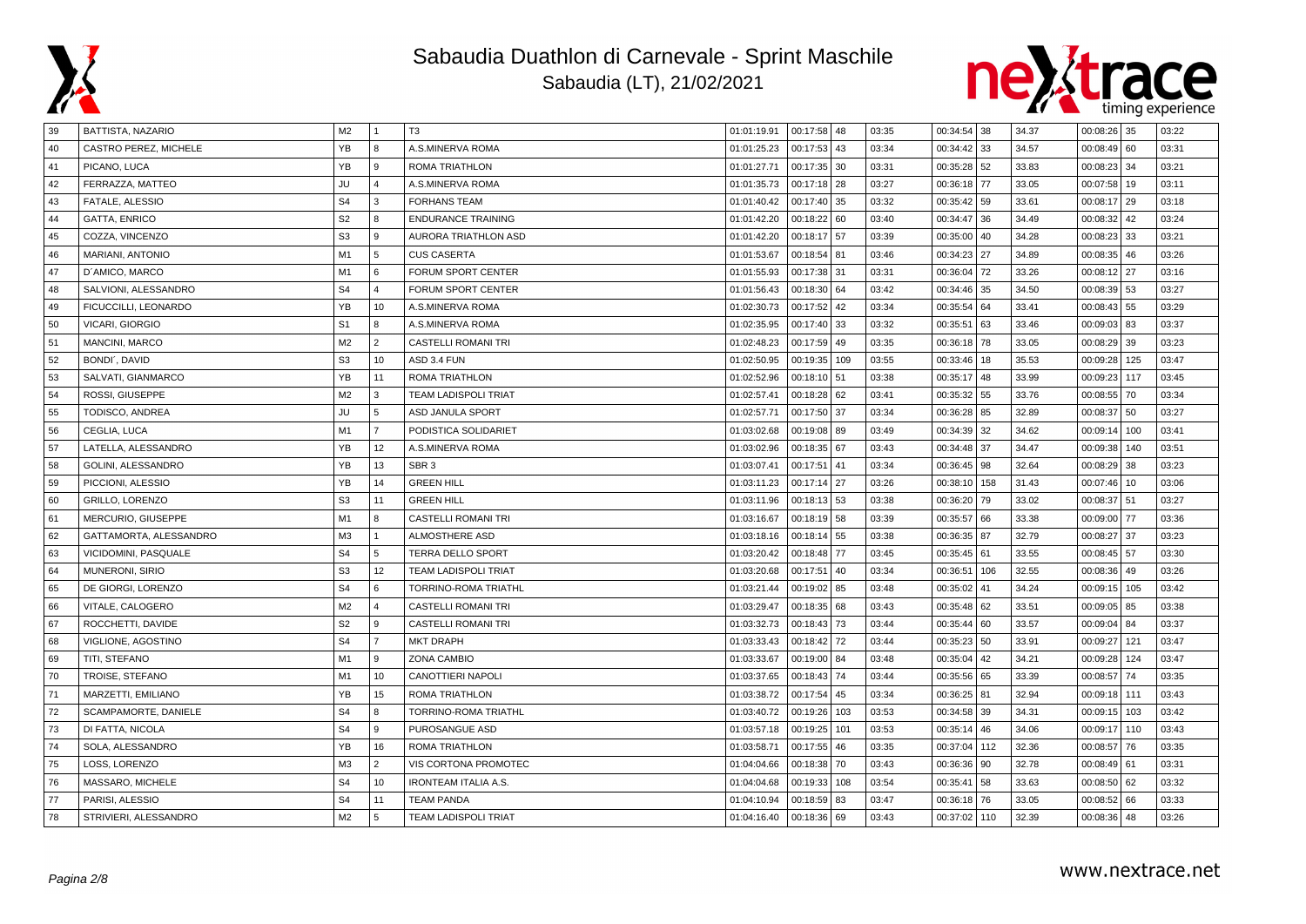

# Sabaudia Duathlon di Carnevale - Sprint Maschile

Sabaudia (LT), 21/02/2021



| 39   | BATTISTA, NAZARIO      | M <sub>2</sub> |                | T3                          | 01:01:19.91 | 00:17:58 48   |     | 03:35 | 00:34:54 38  |     | 34.37 | $00:08:26$ 35   |       | 03:22 |
|------|------------------------|----------------|----------------|-----------------------------|-------------|---------------|-----|-------|--------------|-----|-------|-----------------|-------|-------|
| 40   | CASTRO PEREZ, MICHELE  | YB             | 8              | A.S.MINERVA ROMA            | 01:01:25.23 | 00:17:53      | 43  | 03:34 | 00:34:42 33  |     | 34.57 | 00:08:49        | 60    | 03:31 |
| 41   | PICANO, LUCA           | YB             | $\mathbf{Q}$   | ROMA TRIATHLON              | 01:01:27.71 | 00:17:35 30   |     | 03:31 | 00:35:28 52  |     | 33.83 | $00:08:23$ 34   |       | 03:21 |
| 42   | FERRAZZA, MATTEO       | JU             | $\overline{4}$ | A.S.MINERVA ROMA            | 01:01:35.73 | 00:17:18 28   |     | 03:27 | 00:36:18 77  |     | 33.05 | 00:07:58        | 19    | 03:11 |
| 43   | FATALE, ALESSIO        | S <sub>4</sub> | 3              | <b>FORHANS TEAM</b>         | 01:01:40.42 | 00:17:40      | 35  | 03:32 | 00:35:42 59  |     | 33.61 | 00:08:17        | 29    | 03:18 |
| 44   | <b>GATTA, ENRICO</b>   | S <sub>2</sub> | 8              | <b>ENDURANCE TRAINING</b>   | 01:01:42.20 | 00:18:22 60   |     | 03:40 | 00:34:47 36  |     | 34.49 | 00:08:32        | 42    | 03:24 |
| 45   | COZZA, VINCENZO        | S <sub>3</sub> | 9              | AURORA TRIATHLON ASD        | 01:01:42.20 | 00:18:17 57   |     | 03:39 | 00:35:00 40  |     | 34.28 | 00:08:23        | 33    | 03:21 |
| 46   | MARIANI, ANTONIO       | M1             | 5              | <b>CUS CASERTA</b>          | 01:01:53.67 | 00:18:54 81   |     | 03:46 | 00:34:23 27  |     | 34.89 | $00:08:35$ 46   |       | 03:26 |
| 47   | D'AMICO, MARCO         | M1             | 6              | FORUM SPORT CENTER          | 01:01:55.93 | 00:17:38 31   |     | 03:31 | 00:36:04 72  |     | 33.26 | 00:08:12        | 27    | 03:16 |
| (48) | SALVIONI, ALESSANDRO   | S <sub>4</sub> | $\Delta$       | <b>FORUM SPORT CENTER</b>   | 01:01:56.43 | 00:18:30 64   |     | 03:42 | 00:34:46     | 35  | 34.50 | 00:08:39        | 53    | 03:27 |
| 49   | FICUCCILLI, LEONARDO   | YB             | 10             | A.S.MINERVA ROMA            | 01:02:30.73 | 00:17:52      | 42  | 03:34 | 00:35:54 64  |     | 33.41 | 00:08:43        | 55    | 03:29 |
| 50   | <b>VICARI, GIORGIO</b> | S <sub>1</sub> | 8              | A.S.MINERVA ROMA            | 01:02:35.95 | 00:17:40 33   |     | 03:32 | 00:35:51 63  |     | 33.46 | 00:09:03        | 83    | 03:37 |
| 51   | <b>MANCINI, MARCO</b>  | M <sub>2</sub> | $\overline{2}$ | <b>CASTELLI ROMANI TRI</b>  | 01:02:48.23 | 00:17:59      | 49  | 03:35 | 00:36:18 78  |     | 33.05 | 00:08:29        | 39    | 03:23 |
| 52   | BONDI', DAVID          | S <sub>3</sub> | 10             | ASD 3.4 FUN                 | 01:02:50.95 | 00:19:35      | 109 | 03:55 | 00:33:46 18  |     | 35.53 | 00:09:28        | 125   | 03:47 |
| 53   | SALVATI, GIANMARCO     | YB             | 11             | ROMA TRIATHLON              | 01:02:52.96 | 00:18:10      | 51  | 03:38 | 00:35:17     | 48  | 33.99 | 00:09:23        | 117   | 03:45 |
| 54   | ROSSI, GIUSEPPE        | M <sub>2</sub> | 3              | <b>TEAM LADISPOLI TRIAT</b> | 01:02:57.41 | 00:18:28      | 62  | 03:41 | 00:35:32 55  |     | 33.76 | $00:08:55$ 70   |       | 03:34 |
| 55   | TODISCO, ANDREA        | JU             | 5              | <b>ASD JANULA SPORT</b>     | 01:02:57.71 | 00:17:50 37   |     | 03:34 | 00:36:28 85  |     | 32.89 | 00:08:37        | 50    | 03:27 |
| 56   | CEGLIA, LUCA           | M1             | $\overline{7}$ | PODISTICA SOLIDARIET        | 01:03:02.68 | $00:19:08$ 89 |     | 03:49 | 00:34:39     | 32  | 34.62 | 00:09:14        | 100   | 03:41 |
| 57   | LATELLA, ALESSANDRO    | <b>YB</b>      | 12             | A.S.MINERVA ROMA            | 01:03:02.96 | 00:18:35      | 67  | 03:43 | 00:34:48     | 37  | 34.47 | 00:09:38        | 140   | 03:51 |
| 58   | GOLINI, ALESSANDRO     | YB             | 13             | SBR <sub>3</sub>            | 01:03:07.41 | 00:17:51      | 41  | 03:34 | 00:36:45 98  |     | 32.64 | 00:08:29        | 38    | 03:23 |
| 59   | PICCIONI, ALESSIO      | YB             | 14             | <b>GREEN HILL</b>           | 01:03:11.23 | 00:17:14 27   |     | 03:26 | 00:38:10 158 |     | 31.43 | $00:07:46$   10 |       | 03:06 |
| 60   | <b>GRILLO, LORENZO</b> | S <sub>3</sub> | 11             | <b>GREEN HILL</b>           | 01:03:11.96 | $00:18:13$ 53 |     | 03:38 | 00:36:20 79  |     | 33.02 | 00:08:37        | 51    | 03:27 |
| 61   | MERCURIO, GIUSEPPE     | M1             | 8              | <b>CASTELLI ROMANI TRI</b>  | 01:03:16.67 | 00:18:19 58   |     | 03:39 | 00:35:57 66  |     | 33.38 | 00:09:00        | 77    | 03:36 |
| 62   | GATTAMORTA, ALESSANDRO | M <sub>3</sub> |                | <b>ALMOSTHERE ASD</b>       | 01:03:18.16 | 00:18:14      | 55  | 03:38 | 00:36:35 87  |     | 32.79 | 00:08:27        | 37    | 03:23 |
| 63   | VICIDOMINI, PASQUALE   | S <sub>4</sub> | 5              | TERRA DELLO SPORT           | 01:03:20.42 | 00:18:48 77   |     | 03:45 | 00:35:45 61  |     | 33.55 | $00:08:45$ 57   |       | 03:30 |
| 64   | <b>MUNERONI, SIRIO</b> | S <sub>3</sub> | 12             | <b>TEAM LADISPOLI TRIAT</b> | 01:03:20.68 | 00:17:51      | 40  | 03:34 | 00:36:51 106 |     | 32.55 | 00:08:36        | 49    | 03:26 |
| 65   | DE GIORGI, LORENZO     | S <sub>4</sub> | 6              | TORRINO-ROMA TRIATHL        | 01:03:21.44 | 00:19:02      | 85  | 03:48 | 00:35:02     | 41  | 34.24 | 00:09:15        | 105   | 03:42 |
| 66   | VITALE, CALOGERO       | M <sub>2</sub> | $\overline{a}$ | <b>CASTELLI ROMANI TRI</b>  | 01:03:29.47 | 00:18:35      | 68  | 03:43 | 00:35:48 62  |     | 33.51 | 00:09:05        | 85    | 03:38 |
| 67   | ROCCHETTI, DAVIDE      | S <sub>2</sub> | $\mathbf{q}$   | <b>CASTELLI ROMANI TRI</b>  | 01:03:32.73 | 00:18:43      | 73  | 03:44 | 00:35:44 60  |     | 33.57 | 00:09:04        | 84    | 03:37 |
| 68   | VIGLIONE, AGOSTINO     | S <sub>4</sub> | $\overline{7}$ | <b>MKT DRAPH</b>            | 01:03:33.43 | $00:18:42$ 72 |     | 03:44 | 00:35:23 50  |     | 33.91 | 00:09:27        | 121   | 03:47 |
| 69   | TITI, STEFANO          | M1             | 9              | ZONA CAMBIO                 | 01:03:33.67 | 00:19:00      | 84  | 03:48 | 00:35:04 42  |     | 34.21 | 00:09:28        | 124   | 03:47 |
| 70   | TROISE, STEFANO        | M1             | 10             | CANOTTIERI NAPOLI           | 01:03:37.65 | 00:18:43      | 74  | 03:44 | 00:35:56 65  |     | 33.39 | 00:08:57        | 74    | 03:35 |
| 71   | MARZETTI, EMILIANO     | YB             | 15             | ROMA TRIATHLON              | 01:03:38.72 | 00:17:54      | 45  | 03:34 | 00:36:25 81  |     | 32.94 | 00:09:18        | l 111 | 03:43 |
| 72   | SCAMPAMORTE, DANIELE   | S <sub>4</sub> | 8              | TORRINO-ROMA TRIATHL        | 01:03:40.72 | 00:19:26      | 103 | 03:53 | 00:34:58 39  |     | 34.31 | 00:09:15        | 103   | 03:42 |
| 73   | DI FATTA, NICOLA       | S <sub>4</sub> | $\mathbf{q}$   | PUROSANGUE ASD              | 01:03:57.18 | 00:19:25      | 101 | 03:53 | 00:35:14 46  |     | 34.06 | 00:09:17        | 110   | 03:43 |
| 74   | SOLA, ALESSANDRO       | YB             | 16             | <b>ROMA TRIATHLON</b>       | 01:03:58.71 | 00:17:55      | 46  | 03:35 | 00:37:04     | 112 | 32.36 | 00:08:57        | 76    | 03:35 |
| 75   | LOSS, LORENZO          | M <sub>3</sub> | 2              | VIS CORTONA PROMOTEC        | 01:04:04.66 | 00:18:38      | 70  | 03:43 | 00:36:36     | 90  | 32.78 | 00:08:49        | 61    | 03:31 |
| 76   | MASSARO, MICHELE       | S <sub>4</sub> | 10             | <b>IRONTEAM ITALIA A.S.</b> | 01:04:04.68 | 00:19:33      | 108 | 03:54 | 00:35:41 58  |     | 33.63 | $00:08:50$ 62   |       | 03:32 |
| 77   | PARISI, ALESSIO        | S <sub>4</sub> | 11             | <b>TEAM PANDA</b>           | 01:04:10.94 | 00:18:59      | 83  | 03:47 | 00:36:18 76  |     | 33.05 | 00:08:52        | 66    | 03:33 |
| 78   | STRIVIERI, ALESSANDRO  | M2             | $\overline{5}$ | <b>TEAM LADISPOLI TRIAT</b> | 01:04:16.40 | 00:18:36 69   |     | 03:43 | 00:37:02 110 |     | 32.39 | $00:08:36$ 48   |       | 03:26 |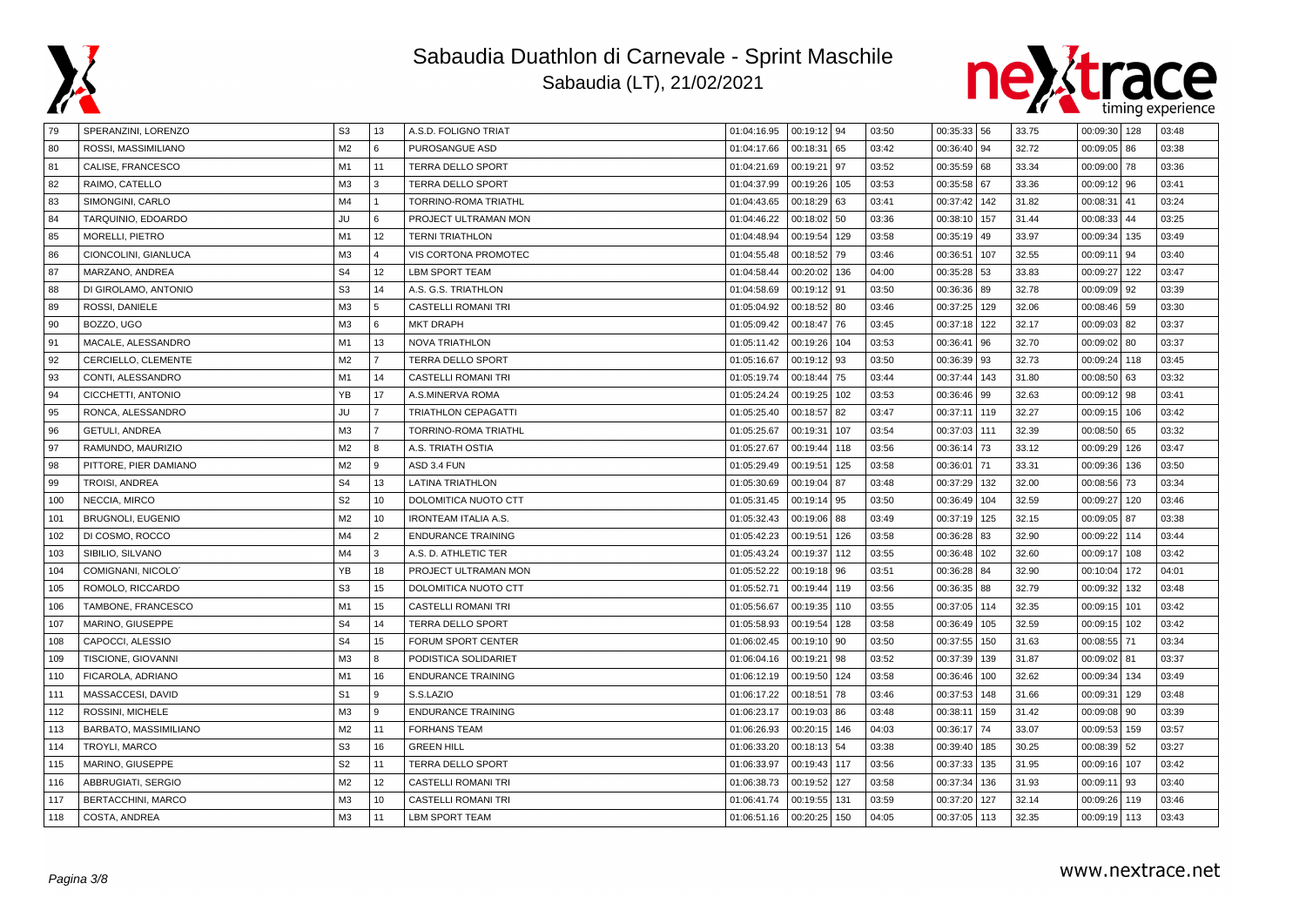



| 79  | SPERANZINI, LORENZO      | S <sub>3</sub> | 13             | A.S.D. FOLIGNO TRIAT        | 01:04:16.95 | $00:19:12$ 94 |     | 03:50 | 00:35:33 56 |     | 33.75 | 00:09:30   128 |     | 03:48 |
|-----|--------------------------|----------------|----------------|-----------------------------|-------------|---------------|-----|-------|-------------|-----|-------|----------------|-----|-------|
| 80  | ROSSI, MASSIMILIANO      | M <sub>2</sub> | 6              | PUROSANGUE ASD              | 01:04:17.66 | 00:18:31      | 65  | 03:42 | 00:36:40    | 94  | 32.72 | $00:09:05$ 86  |     | 03:38 |
| 81  | CALISE, FRANCESCO        | M1             | 11             | TERRA DELLO SPORT           | 01:04:21.69 | 00:19:21      | 97  | 03:52 | 00:35:59    | 68  | 33.34 | 00:09:00 78    |     | 03:36 |
| 82  | RAIMO, CATELLO           | M <sub>3</sub> | 3              | TERRA DELLO SPORT           | 01:04:37.99 | 00:19:26      | 105 | 03:53 | 00:35:58    | 67  | 33.36 | 00:09:12   96  |     | 03:41 |
| 83  | SIMONGINI, CARLO         | M4             |                | TORRINO-ROMA TRIATHL        | 01:04:43.65 | 00:18:29      | 63  | 03:41 | 00:37:42    | 142 | 31.82 | $00:08:31$ 41  |     | 03:24 |
| 84  | TARQUINIO, EDOARDO       | JU             | 6              | PROJECT ULTRAMAN MON        | 01:04:46.22 | 00:18:02      | 50  | 03:36 | 00:38:10    | 157 | 31.44 | $00:08:33$ 44  |     | 03:25 |
| 85  | <b>MORELLI, PIETRO</b>   | M1             | 12             | <b>TERNI TRIATHLON</b>      | 01:04:48.94 | 00:19:54      | 129 | 03:58 | 00:35:19    | 49  | 33.97 | 00:09:34       | 135 | 03:49 |
| 86  | CIONCOLINI, GIANLUCA     | M <sub>3</sub> | $\Delta$       | VIS CORTONA PROMOTEC        | 01:04:55.48 | 00:18:52      | 79  | 03:46 | 00:36:51    | 107 | 32.55 | 00:09:11       | 94  | 03:40 |
| 87  | MARZANO, ANDREA          | S <sub>4</sub> | 12             | <b>LBM SPORT TEAM</b>       | 01:04:58.44 | 00:20:02      | 136 | 04:00 | 00:35:28 53 |     | 33.83 | 00:09:27       | 122 | 03:47 |
| 88  | DI GIROLAMO, ANTONIO     | S <sub>3</sub> | 14             | A.S. G.S. TRIATHLON         | 01:04:58.69 | 00:19:12      | 91  | 03:50 | 00:36:36    | 89  | 32.78 | $00:09:09$ 92  |     | 03:39 |
| 89  | ROSSI, DANIELE           | M <sub>3</sub> | 5              | CASTELLI ROMANI TRI         | 01:05:04.92 | 00:18:52      | 80  | 03:46 | 00:37:25    | 129 | 32.06 | $00:08:46$ 59  |     | 03:30 |
| 90  | BOZZO, UGO               | M <sub>3</sub> | 6              | <b>MKT DRAPH</b>            | 01:05:09.42 | 00:18:47      | 76  | 03:45 | 00:37:18    | 122 | 32.17 | $00:09:03$ 82  |     | 03:37 |
| 91  | MACALE, ALESSANDRO       | M1             | 13             | <b>NOVA TRIATHLON</b>       | 01:05:11.42 | 00:19:26      | 104 | 03:53 | 00:36:41    | 96  | 32.70 | $00:09:02$ 80  |     | 03:37 |
| 92  | CERCIELLO, CLEMENTE      | M <sub>2</sub> | $\overline{7}$ | TERRA DELLO SPORT           | 01:05:16.67 | 00:19:12      | 93  | 03:50 | 00:36:39    | 93  | 32.73 | 00:09:24   118 |     | 03:45 |
| 93  | CONTI, ALESSANDRO        | M1             | 14             | <b>CASTELLI ROMANI TRI</b>  | 01:05:19.74 | 00:18:44      | 75  | 03:44 | 00:37:44    | 143 | 31.80 | $00:08:50$ 63  |     | 03:32 |
| 94  | CICCHETTI, ANTONIO       | YB             | 17             | A.S.MINERVA ROMA            | 01:05:24.24 | 00:19:25      | 102 | 03:53 | 00:36:46    | 99  | 32.63 | $00:09:12$ 98  |     | 03:41 |
| 95  | RONCA, ALESSANDRO        | JU             | $\overline{7}$ | <b>TRIATHLON CEPAGATTI</b>  | 01:05:25.40 | 00:18:57      | 82  | 03:47 | 00:37:11    | 119 | 32.27 | 00:09:15   106 |     | 03:42 |
| 96  | GETULI, ANDREA           | M <sub>3</sub> | $\overline{7}$ | TORRINO-ROMA TRIATHL        | 01:05:25.67 | 00:19:31      | 107 | 03:54 | 00:37:03    | 111 | 32.39 | $00:08:50$ 65  |     | 03:32 |
| 97  | RAMUNDO, MAURIZIO        | M <sub>2</sub> | 8              | A.S. TRIATH OSTIA           | 01:05:27.67 | 00:19:44      | 118 | 03:56 | 00:36:14    | 73  | 33.12 | 00:09:29 126   |     | 03:47 |
| 98  | PITTORE, PIER DAMIANO    | M <sub>2</sub> | 9              | ASD 3.4 FUN                 | 01:05:29.49 | 00:19:51      | 125 | 03:58 | 00:36:01    | 71  | 33.31 | 00:09:36       | 136 | 03:50 |
| 99  | <b>TROISI, ANDREA</b>    | S <sub>4</sub> | 13             | LATINA TRIATHLON            | 01:05:30.69 | 00:19:04      | 87  | 03:48 | 00:37:29    | 132 | 32.00 | 00:08:56 73    |     | 03:34 |
| 100 | NECCIA, MIRCO            | S <sub>2</sub> | 10             | DOLOMITICA NUOTO CTT        | 01:05:31.45 | 00:19:14      | 95  | 03:50 | 00:36:49    | 104 | 32.59 | 00:09:27       | 120 | 03:46 |
| 101 | <b>BRUGNOLI, EUGENIO</b> | M <sub>2</sub> | 10             | <b>IRONTEAM ITALIA A.S.</b> | 01:05:32.43 | 00:19:06      | 88  | 03:49 | 00:37:19    | 125 | 32.15 | 00:09:05 87    |     | 03:38 |
| 102 | DI COSMO, ROCCO          | M4             | $\overline{2}$ | <b>ENDURANCE TRAINING</b>   | 01:05:42.23 | 00:19:51      | 126 | 03:58 | 00:36:28    | 83  | 32.90 | 00:09:22 114   |     | 03:44 |
| 103 | SIBILIO, SILVANO         | M4             | 3              | A.S. D. ATHLETIC TER        | 01:05:43.24 | 00:19:37      | 112 | 03:55 | 00:36:48    | 102 | 32.60 | 00:09:17       | 108 | 03:42 |
| 104 | COMIGNANI, NICOLO        | YB             | 18             | PROJECT ULTRAMAN MON        | 01:05:52.22 | 00:19:18      | 96  | 03:51 | 00:36:28    | 84  | 32.90 | 00:10:04       | 172 | 04:01 |
| 105 | ROMOLO, RICCARDO         | S <sub>3</sub> | 15             | DOLOMITICA NUOTO CTT        | 01:05:52.71 | 00:19:44      | 119 | 03:56 | 00:36:35    | 88  | 32.79 | 00:09:32       | 132 | 03:48 |
| 106 | TAMBONE, FRANCESCO       | M1             | 15             | CASTELLI ROMANI TRI         | 01:05:56.67 | 00:19:35      | 110 | 03:55 | 00:37:05    | 114 | 32.35 | 00:09:15       | 101 | 03:42 |
| 107 | MARINO, GIUSEPPE         | S <sub>4</sub> | 14             | TERRA DELLO SPORT           | 01:05:58.93 | 00:19:54      | 128 | 03:58 | 00:36:49    | 105 | 32.59 | 00:09:15       | 102 | 03:42 |
| 108 | CAPOCCI, ALESSIO         | S <sub>4</sub> | 15             | FORUM SPORT CENTER          | 01:06:02.45 | 00:19:10      | 90  | 03:50 | 00:37:55    | 150 | 31.63 | $00:08:55$ 71  |     | 03:34 |
| 109 | TISCIONE, GIOVANNI       | M <sub>3</sub> | 8              | PODISTICA SOLIDARIET        | 01:06:04.16 | 00:19:21      | 98  | 03:52 | 00:37:39    | 139 | 31.87 | $00:09:02$ 81  |     | 03:37 |
| 110 | FICAROLA, ADRIANO        | M1             | 16             | <b>ENDURANCE TRAINING</b>   | 01:06:12.19 | 00:19:50      | 124 | 03:58 | 00:36:46    | 100 | 32.62 | 00:09:34   134 |     | 03:49 |
| 111 | MASSACCESI, DAVID        | S <sub>1</sub> | 9              | S.S.LAZIO                   | 01:06:17.22 | 00:18:51      | 78  | 03:46 | 00:37:53    | 148 | 31.66 | 00:09:31       | 129 | 03:48 |
| 112 | ROSSINI, MICHELE         | M <sub>3</sub> | 9              | <b>ENDURANCE TRAINING</b>   | 01:06:23.17 | 00:19:03      | 86  | 03:48 | 00:38:11    | 159 | 31.42 | $00:09:08$ 90  |     | 03:39 |
| 113 | BARBATO, MASSIMILIANO    | M <sub>2</sub> | 11             | <b>FORHANS TEAM</b>         | 01:06:26.93 | 00:20:15      | 146 | 04:03 | 00:36:17    | 74  | 33.07 | 00:09:53   159 |     | 03:57 |
| 114 | TROYLI, MARCO            | S <sub>3</sub> | 16             | <b>GREEN HILL</b>           | 01:06:33.20 | 00:18:13      | 54  | 03:38 | 00:39:40    | 185 | 30.25 | $00:08:39$ 52  |     | 03:27 |
| 115 | MARINO, GIUSEPPE         | S <sub>2</sub> | 11             | <b>TERRA DELLO SPORT</b>    | 01:06:33.97 | 00:19:43      | 117 | 03:56 | 00:37:33    | 135 | 31.95 | 00:09:16       | 107 | 03:42 |
| 116 | ABBRUGIATI, SERGIO       | M <sub>2</sub> | 12             | <b>CASTELLI ROMANI TRI</b>  | 01:06:38.73 | 00:19:52      | 127 | 03:58 | 00:37:34    | 136 | 31.93 | 00:09:11 93    |     | 03:40 |
| 117 | BERTACCHINI, MARCO       | M <sub>3</sub> | 10             | <b>CASTELLI ROMANI TRI</b>  | 01:06:41.74 | 00:19:55      | 131 | 03:59 | 00:37:20    | 127 | 32.14 | 00:09:26 119   |     | 03:46 |
| 118 | COSTA, ANDREA            | M <sub>3</sub> | 11             | <b>LBM SPORT TEAM</b>       | 01:06:51.16 | 00:20:25      | 150 | 04:05 | 00:37:05    | 113 | 32.35 | 00:09:19 113   |     | 03:43 |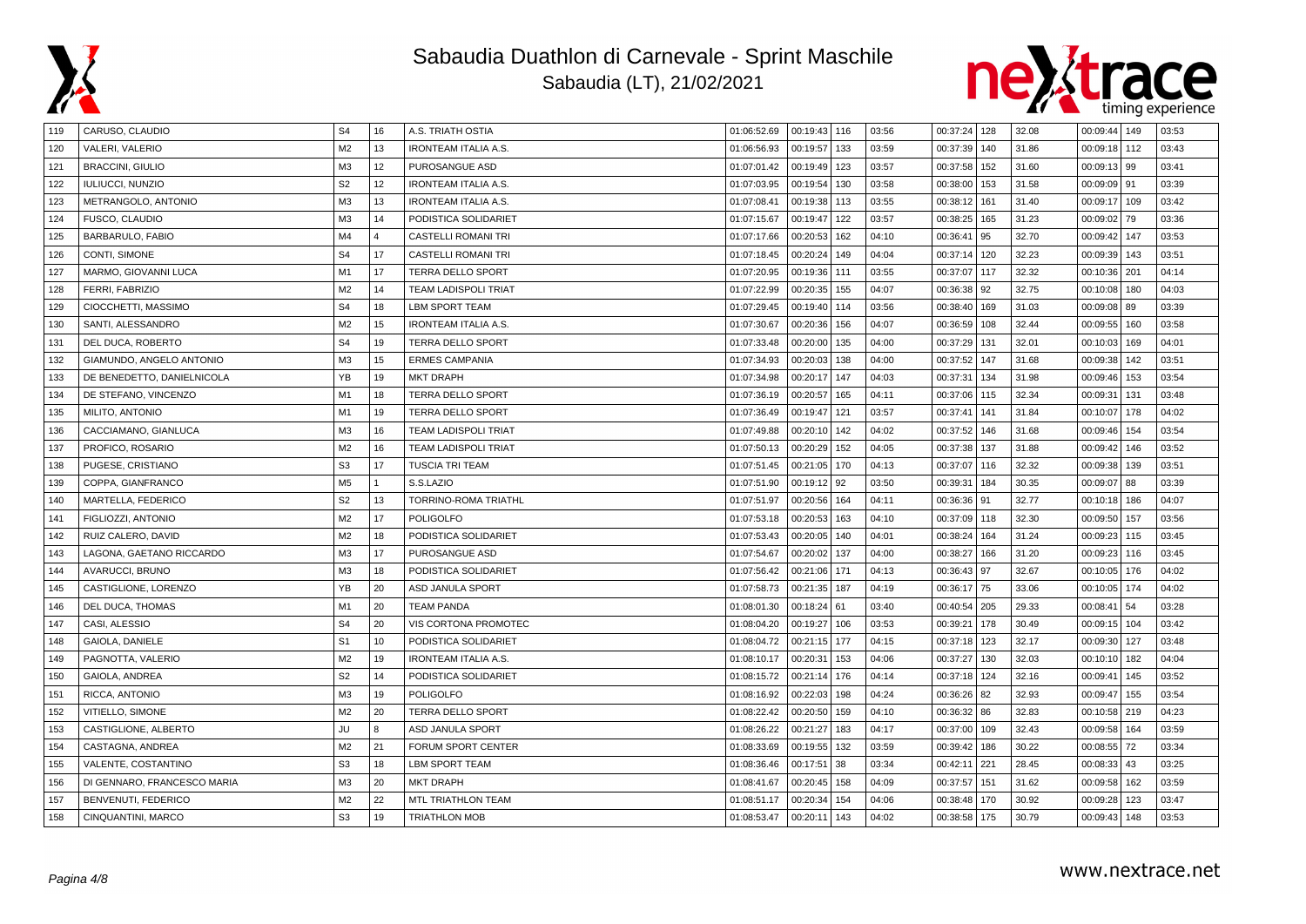



| 119 | CARUSO, CLAUDIO             | S <sub>4</sub> | 16       | A.S. TRIATH OSTIA           | 01:06:52.69 | 00:19:43   116 |     | 03:56 | 00:37:24 128 |     | 32.08 | 00:09:44   149 |     | 03:53 |
|-----|-----------------------------|----------------|----------|-----------------------------|-------------|----------------|-----|-------|--------------|-----|-------|----------------|-----|-------|
| 120 | VALERI, VALERIO             | M <sub>2</sub> | 13       | <b>IRONTEAM ITALIA A.S.</b> | 01:06:56.93 | 00:19:57       | 133 | 03:59 | 00:37:39     | 140 | 31.86 | 00:09:18 112   |     | 03:43 |
| 121 | <b>BRACCINI, GIULIO</b>     | M <sub>3</sub> | 12       | PUROSANGUE ASD              | 01:07:01.42 | 00:19:49       | 123 | 03:57 | 00:37:58     | 152 | 31.60 | $00:09:13$ 99  |     | 03:41 |
| 122 | IULIUCCI, NUNZIO            | S <sub>2</sub> | 12       | <b>IRONTEAM ITALIA A.S.</b> | 01:07:03.95 | 00:19:54       | 130 | 03:58 | 00:38:00     | 153 | 31.58 | $00:09:09$ 91  |     | 03:39 |
| 123 | METRANGOLO, ANTONIO         | M <sub>3</sub> | 13       | <b>IRONTEAM ITALIA A.S.</b> | 01:07:08.41 | 00:19:38       | 113 | 03:55 | 00:38:12     | 161 | 31.40 | 00:09:17   109 |     | 03:42 |
| 124 | FUSCO, CLAUDIO              | M <sub>3</sub> | 14       | PODISTICA SOLIDARIET        | 01:07:15.67 | 00:19:47       | 122 | 03:57 | 00:38:25     | 165 | 31.23 | $00:09:02$ 79  |     | 03:36 |
| 125 | BARBARULO, FABIO            | M4             | $\Delta$ | <b>CASTELLI ROMANI TRI</b>  | 01:07:17.66 | 00:20:53       | 162 | 04:10 | 00:36:41     | 95  | 32.70 | 00:09:42       | 147 | 03:53 |
| 126 | CONTI, SIMONE               | S <sub>4</sub> | 17       | CASTELLI ROMANI TRI         | 01:07:18.45 | 00:20:24       | 149 | 04:04 | 00:37:14     | 120 | 32.23 | 00:09:39       | 143 | 03:51 |
| 127 | MARMO, GIOVANNI LUCA        | M1             | 17       | <b>TERRA DELLO SPORT</b>    | 01:07:20.95 | 00:19:36       | 111 | 03:55 | 00:37:07     | 117 | 32.32 | 00:10:36   201 |     | 04:14 |
| 128 | FERRI. FABRIZIO             | M <sub>2</sub> | 14       | <b>TEAM LADISPOLI TRIAT</b> | 01:07:22.99 | 00:20:35       | 155 | 04:07 | 00:36:38     | 92  | 32.75 | 00:10:08   180 |     | 04:03 |
| 129 | CIOCCHETTI, MASSIMO         | S <sub>4</sub> | 18       | LBM SPORT TEAM              | 01:07:29.45 | 00:19:40       | 114 | 03:56 | 00:38:40     | 169 | 31.03 | 00:09:08       | 89  | 03:39 |
| 130 | SANTI, ALESSANDRO           | M <sub>2</sub> | 15       | <b>IRONTEAM ITALIA A.S.</b> | 01:07:30.67 | 00:20:36       | 156 | 04:07 | 00:36:59     | 108 | 32.44 | 00:09:55       | 160 | 03:58 |
| 131 | DEL DUCA, ROBERTO           | S <sub>4</sub> | 19       | TERRA DELLO SPORT           | 01:07:33.48 | 00:20:00       | 135 | 04:00 | 00:37:29     | 131 | 32.01 | 00:10:03       | 169 | 04:01 |
| 132 | GIAMUNDO, ANGELO ANTONIO    | M <sub>3</sub> | 15       | <b>ERMES CAMPANIA</b>       | 01:07:34.93 | 00:20:03       | 138 | 04:00 | 00:37:52     | 147 | 31.68 | 00:09:38       | 142 | 03:51 |
| 133 | DE BENEDETTO, DANIELNICOLA  | YB             | 19       | <b>MKT DRAPH</b>            | 01:07:34.98 | 00:20:17       | 147 | 04:03 | 00:37:31     | 134 | 31.98 | 00:09:46   153 |     | 03:54 |
| 134 | DE STEFANO, VINCENZO        | M1             | 18       | <b>TERRA DELLO SPORT</b>    | 01:07:36.19 | 00:20:57       | 165 | 04:11 | 00:37:06     | 115 | 32.34 | 00:09:31       | 131 | 03:48 |
| 135 | MILITO, ANTONIO             | M1             | 19       | <b>TERRA DELLO SPORT</b>    | 01:07:36.49 | 00:19:47       | 121 | 03:57 | 00:37:41     | 141 | 31.84 | 00:10:07   178 |     | 04:02 |
| 136 | CACCIAMANO, GIANLUCA        | M <sub>3</sub> | 16       | <b>TEAM LADISPOLI TRIAT</b> | 01:07:49.88 | 00:20:10       | 142 | 04:02 | 00:37:52     | 146 | 31.68 | 00:09:46       | 154 | 03:54 |
| 137 | PROFICO, ROSARIO            | M <sub>2</sub> | 16       | <b>TEAM LADISPOLI TRIAT</b> | 01:07:50.13 | 00:20:29       | 152 | 04:05 | 00:37:38     | 137 | 31.88 | 00:09:42       | 146 | 03:52 |
| 138 | PUGESE, CRISTIANO           | S <sub>3</sub> | 17       | <b>TUSCIA TRI TEAM</b>      | 01:07:51.45 | 00:21:05       | 170 | 04:13 | 00:37:07     | 116 | 32.32 | 00:09:38       | 139 | 03:51 |
| 139 | COPPA, GIANFRANCO           | M <sub>5</sub> |          | S.S.LAZIO                   | 01:07:51.90 | 00:19:12       | 92  | 03:50 | 00:39:31     | 184 | 30.35 | $00:09:07$ 88  |     | 03:39 |
| 140 | MARTELLA, FEDERICO          | S <sub>2</sub> | 13       | TORRINO-ROMA TRIATHL        | 01:07:51.97 | 00:20:56       | 164 | 04:11 | 00:36:36 91  |     | 32.77 | 00:10:18   186 |     | 04:07 |
| 141 | FIGLIOZZI, ANTONIO          | M <sub>2</sub> | 17       | <b>POLIGOLFO</b>            | 01:07:53.18 | 00:20:53       | 163 | 04:10 | 00:37:09     | 118 | 32.30 | 00:09:50 157   |     | 03:56 |
| 142 | RUIZ CALERO, DAVID          | M <sub>2</sub> | 18       | PODISTICA SOLIDARIET        | 01:07:53.43 | 00:20:05       | 140 | 04:01 | 00:38:24     | 164 | 31.24 | 00:09:23       | 115 | 03:45 |
| 143 | LAGONA, GAETANO RICCARDO    | M <sub>3</sub> | 17       | PUROSANGUE ASD              | 01:07:54.67 | 00:20:02       | 137 | 04:00 | 00:38:27     | 166 | 31.20 | 00:09:23       | 116 | 03:45 |
| 144 | AVARUCCI, BRUNO             | M <sub>3</sub> | 18       | PODISTICA SOLIDARIET        | 01:07:56.42 | 00:21:06       | 171 | 04:13 | 00:36:43     | 97  | 32.67 | 00:10:05       | 176 | 04:02 |
| 145 | CASTIGLIONE, LORENZO        | YB             | 20       | <b>ASD JANULA SPORT</b>     | 01:07:58.73 | 00:21:35       | 187 | 04:19 | 00:36:17     | 75  | 33.06 | 00:10:05   174 |     | 04:02 |
| 146 | DEL DUCA, THOMAS            | M1             | 20       | <b>TEAM PANDA</b>           | 01:08:01.30 | 00:18:24       | 61  | 03:40 | 00:40:54     | 205 | 29.33 | 00:08:41       | 54  | 03:28 |
| 147 | CASI, ALESSIO               | S <sub>4</sub> | 20       | <b>VIS CORTONA PROMOTEC</b> | 01:08:04.20 | 00:19:27       | 106 | 03:53 | 00:39:21     | 178 | 30.49 | 00:09:15       | 104 | 03:42 |
| 148 | <b>GAIOLA, DANIELE</b>      | S <sub>1</sub> | 10       | PODISTICA SOLIDARIET        | 01:08:04.72 | 00:21:15       | 177 | 04:15 | 00:37:18     | 123 | 32.17 | 00:09:30       | 127 | 03:48 |
| 149 | PAGNOTTA, VALERIO           | M <sub>2</sub> | 19       | <b>IRONTEAM ITALIA A.S.</b> | 01:08:10.17 | 00:20:31       | 153 | 04:06 | 00:37:27     | 130 | 32.03 | 00:10:10 182   |     | 04:04 |
| 150 | GAIOLA, ANDREA              | S <sub>2</sub> | 14       | PODISTICA SOLIDARIET        | 01:08:15.72 | 00:21:14       | 176 | 04:14 | 00:37:18     | 124 | 32.16 | 00:09:41       | 145 | 03:52 |
| 151 | RICCA, ANTONIO              | M <sub>3</sub> | 19       | <b>POLIGOLFO</b>            | 01:08:16.92 | 00:22:03       | 198 | 04:24 | 00:36:26     | 82  | 32.93 | 00:09:47   155 |     | 03:54 |
| 152 | VITIELLO, SIMONE            | M <sub>2</sub> | 20       | TERRA DELLO SPORT           | 01:08:22.42 | 00:20:50       | 159 | 04:10 | 00:36:32     | 86  | 32.83 | 00:10:58 219   |     | 04:23 |
| 153 | CASTIGLIONE, ALBERTO        | JU             | R        | <b>ASD JANULA SPORT</b>     | 01:08:26.22 | 00:21:27       | 183 | 04:17 | 00:37:00     | 109 | 32.43 | 00:09:58   164 |     | 03:59 |
| 154 | CASTAGNA, ANDREA            | M <sub>2</sub> | 21       | FORUM SPORT CENTER          | 01:08:33.69 | 00:19:55       | 132 | 03:59 | 00:39:42     | 186 | 30.22 | $00:08:55$ 72  |     | 03:34 |
| 155 | VALENTE, COSTANTINO         | S <sub>3</sub> | 18       | <b>LBM SPORT TEAM</b>       | 01:08:36.46 | 00:17:51       | 38  | 03:34 | 00:42:11     | 221 | 28.45 | 00:08:33       | 43  | 03:25 |
| 156 | DI GENNARO, FRANCESCO MARIA | M <sub>3</sub> | 20       | <b>MKT DRAPH</b>            | 01:08:41.67 | 00:20:45       | 158 | 04:09 | 00:37:57     | 151 | 31.62 | 00:09:58       | 162 | 03:59 |
| 157 | BENVENUTI, FEDERICO         | M <sub>2</sub> | 22       | <b>MTL TRIATHLON TEAM</b>   | 01:08:51.17 | 00:20:34       | 154 | 04:06 | 00:38:48     | 170 | 30.92 | 00:09:28       | 123 | 03:47 |
| 158 | CINQUANTINI, MARCO          | S <sub>3</sub> | 19       | <b>TRIATHLON MOB</b>        | 01:08:53.47 | 00:20:11       | 143 | 04:02 | 00:38:58 175 |     | 30.79 | 00:09:43   148 |     | 03:53 |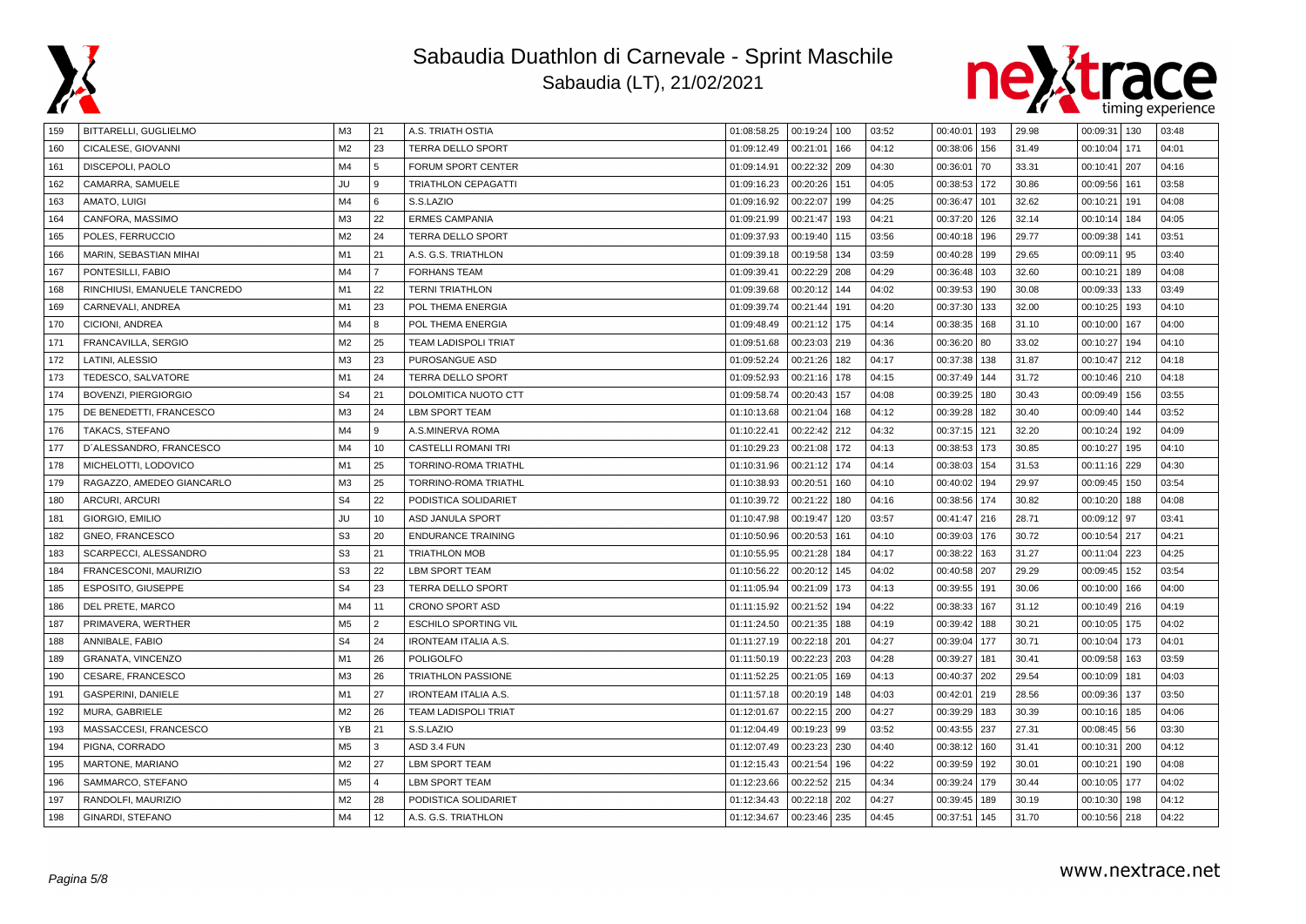



| 159 | BITTARELLI, GUGLIELMO        | M <sub>3</sub> | 21             | A.S. TRIATH OSTIA           | 01:08:58.25 | 00:19:24 100 |     | 03:52 | 00:40:01 193 |     | 29.98 | 00:09:31   130 |     | 03:48 |
|-----|------------------------------|----------------|----------------|-----------------------------|-------------|--------------|-----|-------|--------------|-----|-------|----------------|-----|-------|
| 160 | CICALESE, GIOVANNI           | M <sub>2</sub> | 23             | <b>TERRA DELLO SPORT</b>    | 01:09:12.49 | 00:21:01     | 166 | 04:12 | 00:38:06     | 156 | 31.49 | 00:10:04   171 |     | 04:01 |
| 161 | DISCEPOLI, PAOLO             | M4             | 5              | FORUM SPORT CENTER          | 01:09:14.91 | 00:22:32     | 209 | 04:30 | 00:36:01     | 70  | 33.31 | 00:10:41       | 207 | 04:16 |
| 162 | CAMARRA, SAMUELE             | JU             | 9              | <b>TRIATHLON CEPAGATTI</b>  | 01:09:16.23 | 00:20:26     | 151 | 04:05 | 00:38:53     | 172 | 30.86 | 00:09:56       | 161 | 03:58 |
| 163 | AMATO, LUIGI                 | M4             | 6              | S.S.LAZIO                   | 01:09:16.92 | 00:22:07     | 199 | 04:25 | 00:36:47     | 101 | 32.62 | 00:10:21       | 191 | 04:08 |
| 164 | CANFORA, MASSIMO             | M <sub>3</sub> | 22             | <b>ERMES CAMPANIA</b>       | 01:09:21.99 | 00:21:47     | 193 | 04:21 | 00:37:20     | 126 | 32.14 | 00:10:14       | 184 | 04:05 |
| 165 | POLES, FERRUCCIO             | M <sub>2</sub> | 24             | <b>TERRA DELLO SPORT</b>    | 01:09:37.93 | 00:19:40     | 115 | 03:56 | 00:40:18     | 196 | 29.77 | 00:09:38       | 141 | 03:51 |
| 166 | MARIN, SEBASTIAN MIHAI       | M1             | 21             | A.S. G.S. TRIATHLON         | 01:09:39.18 | 00:19:58     | 134 | 03:59 | 00:40:28     | 199 | 29.65 | 00:09:11       | 95  | 03:40 |
| 167 | PONTESILLI, FABIO            | M4             | $\overline{7}$ | <b>FORHANS TEAM</b>         | 01:09:39.41 | 00:22:29     | 208 | 04:29 | 00:36:48     | 103 | 32.60 | 00:10:21       | 189 | 04:08 |
| 168 | RINCHIUSI, EMANUELE TANCREDO | M1             | 22             | <b>TERNI TRIATHLON</b>      | 01:09:39.68 | 00:20:12     | 144 | 04:02 | 00:39:53     | 190 | 30.08 | 00:09:33   133 |     | 03:49 |
| 169 | CARNEVALI, ANDREA            | M1             | 23             | POL THEMA ENERGIA           | 01:09:39.74 | 00:21:44     | 191 | 04:20 | 00:37:30     | 133 | 32.00 | 00:10:25       | 193 | 04:10 |
| 170 | CICIONI, ANDREA              | M4             | 8              | POL THEMA ENERGIA           | 01:09:48.49 | 00:21:12     | 175 | 04:14 | 00:38:35     | 168 | 31.10 | 00:10:00       | 167 | 04:00 |
| 171 | FRANCAVILLA, SERGIO          | M <sub>2</sub> | 25             | <b>TEAM LADISPOLI TRIAT</b> | 01:09:51.68 | 00:23:03     | 219 | 04:36 | 00:36:20     | 80  | 33.02 | 00:10:27       | 194 | 04:10 |
| 172 | LATINI, ALESSIO              | M <sub>3</sub> | 23             | PUROSANGUE ASD              | 01:09:52.24 | 00:21:26     | 182 | 04:17 | 00:37:38     | 138 | 31.87 | 00:10:47 212   |     | 04:18 |
| 173 | TEDESCO, SALVATORE           | M1             | 24             | <b>TERRA DELLO SPORT</b>    | 01:09:52.93 | 00:21:16     | 178 | 04:15 | 00:37:49     | 144 | 31.72 | 00:10:46   210 |     | 04:18 |
| 174 | BOVENZI, PIERGIORGIO         | S <sub>4</sub> | 21             | DOLOMITICA NUOTO CTT        | 01:09:58.74 | 00:20:43     | 157 | 04:08 | 00:39:25     | 180 | 30.43 | 00:09:49       | 156 | 03:55 |
| 175 | DE BENEDETTI, FRANCESCO      | M <sub>3</sub> | 24             | <b>LBM SPORT TEAM</b>       | 01:10:13.68 | 00:21:04     | 168 | 04:12 | 00:39:28     | 182 | 30.40 | 00:09:40       | 144 | 03:52 |
| 176 | TAKACS, STEFANO              | M4             | 9              | A.S.MINERVA ROMA            | 01:10:22.41 | 00:22:42     | 212 | 04:32 | 00:37:15     | 121 | 32.20 | 00:10:24       | 192 | 04:09 |
| 177 | D'ALESSANDRO, FRANCESCO      | M4             | 10             | <b>CASTELLI ROMANI TRI</b>  | 01:10:29.23 | 00:21:08     | 172 | 04:13 | 00:38:53     | 173 | 30.85 | 00:10:27       | 195 | 04:10 |
| 178 | MICHELOTTI, LODOVICO         | M1             | 25             | TORRINO-ROMA TRIATHL        | 01:10:31.96 | 00:21:12     | 174 | 04:14 | 00:38:03     | 154 | 31.53 | 00:11:16       | 229 | 04:30 |
| 179 | RAGAZZO, AMEDEO GIANCARLO    | M <sub>3</sub> | 25             | TORRINO-ROMA TRIATHL        | 01:10:38.93 | 00:20:51     | 160 | 04:10 | 00:40:02     | 194 | 29.97 | 00:09:45       | 150 | 03:54 |
| 180 | <b>ARCURI, ARCURI</b>        | S <sub>4</sub> | 22             | PODISTICA SOLIDARIET        | 01:10:39.72 | 00:21:22     | 180 | 04:16 | 00:38:56     | 174 | 30.82 | 00:10:20       | 188 | 04:08 |
| 181 | GIORGIO, EMILIO              | JU             | 10             | ASD JANULA SPORT            | 01:10:47.98 | 00:19:47     | 120 | 03:57 | 00:41:47     | 216 | 28.71 | 00:09:12 97    |     | 03:41 |
| 182 | GNEO, FRANCESCO              | S <sub>3</sub> | 20             | <b>ENDURANCE TRAINING</b>   | 01:10:50.96 | 00:20:53     | 161 | 04:10 | 00:39:03     | 176 | 30.72 | 00:10:54 217   |     | 04:21 |
| 183 | SCARPECCI, ALESSANDRO        | S <sub>3</sub> | 21             | <b>TRIATHLON MOB</b>        | 01:10:55.95 | 00:21:28     | 184 | 04:17 | 00:38:22     | 163 | 31.27 | 00:11:04   223 |     | 04:25 |
| 184 | FRANCESCONI, MAURIZIO        | S <sub>3</sub> | 22             | <b>LBM SPORT TEAM</b>       | 01:10:56.22 | 00:20:12     | 145 | 04:02 | 00:40:58     | 207 | 29.29 | 00:09:45   152 |     | 03:54 |
| 185 | ESPOSITO, GIUSEPPE           | S <sub>4</sub> | 23             | <b>TERRA DELLO SPORT</b>    | 01:11:05.94 | 00:21:09     | 173 | 04:13 | 00:39:55     | 191 | 30.06 | 00:10:00       | 166 | 04:00 |
| 186 | DEL PRETE, MARCO             | M4             | 11             | <b>CRONO SPORT ASD</b>      | 01:11:15.92 | 00:21:52     | 194 | 04:22 | 00:38:33     | 167 | 31.12 | 00:10:49       | 216 | 04:19 |
| 187 | PRIMAVERA, WERTHER           | M <sub>5</sub> | $\overline{2}$ | <b>ESCHILO SPORTING VIL</b> | 01:11:24.50 | 00:21:35     | 188 | 04:19 | 00:39:42     | 188 | 30.21 | 00:10:05       | 175 | 04:02 |
| 188 | ANNIBALE, FABIO              | S <sub>4</sub> | 24             | <b>IRONTEAM ITALIA A.S.</b> | 01:11:27.19 | 00:22:18 201 |     | 04:27 | 00:39:04     | 177 | 30.71 | 00:10:04   173 |     | 04:01 |
| 189 | GRANATA, VINCENZO            | M1             | 26             | <b>POLIGOLFO</b>            | 01:11:50.19 | 00:22:23     | 203 | 04:28 | 00:39:27     | 181 | 30.41 | 00:09:58   163 |     | 03:59 |
| 190 | CESARE, FRANCESCO            | M <sub>3</sub> | 26             | <b>TRIATHLON PASSIONE</b>   | 01:11:52.25 | 00:21:05     | 169 | 04:13 | 00:40:37     | 202 | 29.54 | 00:10:09       | 181 | 04:03 |
| 191 | GASPERINI, DANIELE           | M1             | 27             | <b>IRONTEAM ITALIA A.S.</b> | 01:11:57.18 | 00:20:19     | 148 | 04:03 | 00:42:01     | 219 | 28.56 | 00:09:36   137 |     | 03:50 |
| 192 | MURA, GABRIELE               | M <sub>2</sub> | 26             | <b>TEAM LADISPOLI TRIAT</b> | 01:12:01.67 | 00:22:15 200 |     | 04:27 | 00:39:29     | 183 | 30.39 | 00:10:16 185   |     | 04:06 |
| 193 | MASSACCESI, FRANCESCO        | YB             | 21             | S.S.LAZIO                   | 01:12:04.49 | 00:19:23     | 99  | 03:52 | 00:43:55     | 237 | 27.31 | $00:08:45$ 56  |     | 03:30 |
| 194 | PIGNA, CORRADO               | M <sub>5</sub> | 3              | ASD 3.4 FUN                 | 01:12:07.49 | 00:23:23     | 230 | 04:40 | 00:38:12     | 160 | 31.41 | 00:10:31       | 200 | 04:12 |
| 195 | MARTONE, MARIANO             | M <sub>2</sub> | 27             | <b>LBM SPORT TEAM</b>       | 01:12:15.43 | 00:21:54     | 196 | 04:22 | 00:39:59     | 192 | 30.01 | 00:10:21       | 190 | 04:08 |
| 196 | SAMMARCO, STEFANO            | M <sub>5</sub> | $\overline{4}$ | <b>LBM SPORT TEAM</b>       | 01:12:23.66 | 00:22:52 215 |     | 04:34 | 00:39:24     | 179 | 30.44 | 00:10:05 177   |     | 04:02 |
| 197 | RANDOLFI, MAURIZIO           | M <sub>2</sub> | 28             | PODISTICA SOLIDARIET        | 01:12:34.43 | 00:22:18 202 |     | 04:27 | 00:39:45     | 189 | 30.19 | 00:10:30       | 198 | 04:12 |
| 198 | GINARDI, STEFANO             | M4             | 12             | A.S. G.S. TRIATHLON         | 01:12:34.67 | 00:23:46     | 235 | 04:45 | 00:37:51     | 145 | 31.70 | 00:10:56 218   |     | 04:22 |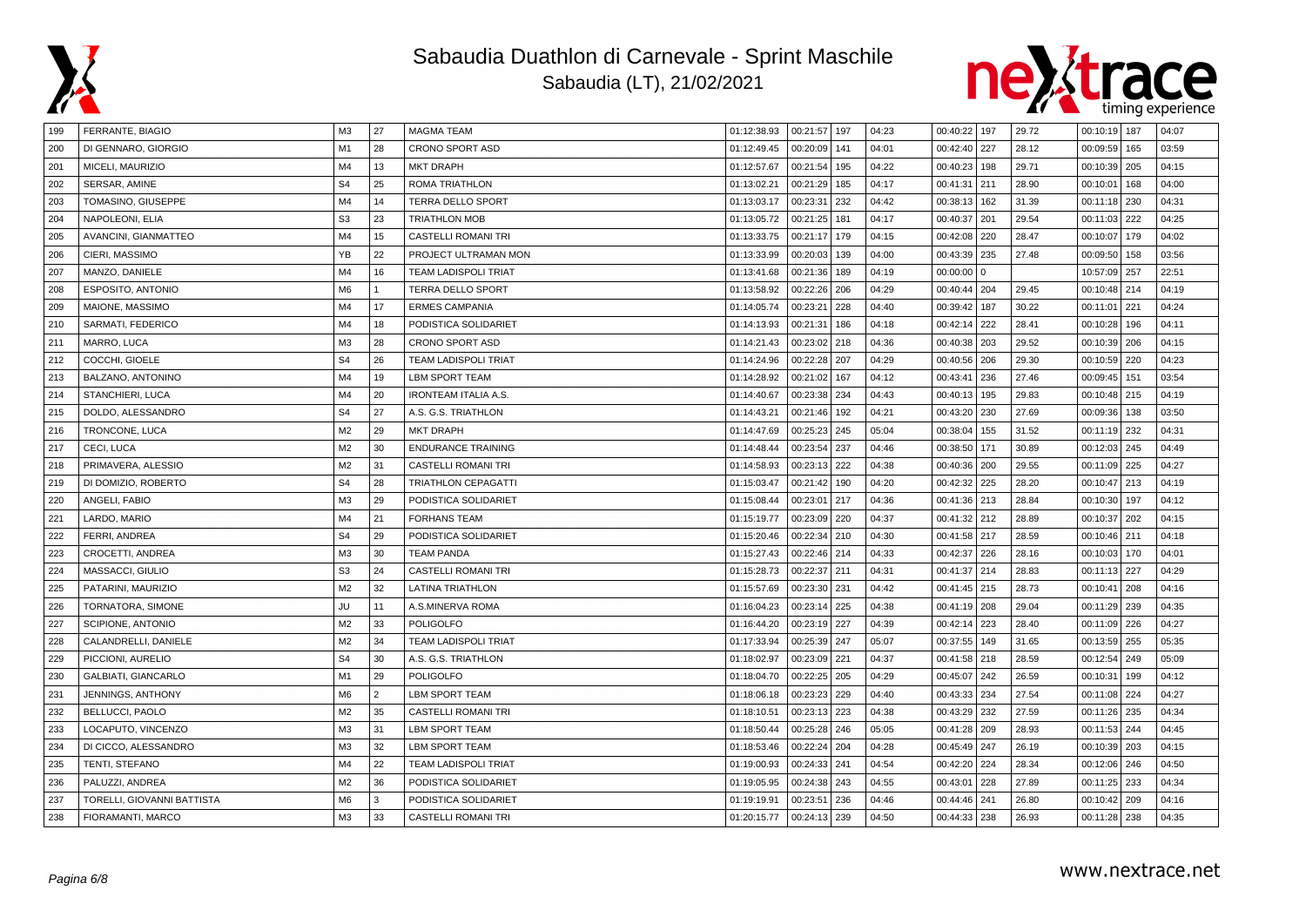



| 199 | FERRANTE, BIAGIO           | M <sub>3</sub> | 27             | <b>MAGMA TEAM</b>           | 01:12:38.93 | 00:21:57 197 |     | 04:23 | 00:40:22 197 |              | 29.72 | 00:10:19 187   |     | 04:07 |
|-----|----------------------------|----------------|----------------|-----------------------------|-------------|--------------|-----|-------|--------------|--------------|-------|----------------|-----|-------|
| 200 | DI GENNARO, GIORGIO        | M1             | 28             | <b>CRONO SPORT ASD</b>      | 01:12:49.45 | 00:20:09     | 141 | 04:01 | 00:42:40     | 227          | 28.12 | 00:09:59   165 |     | 03:59 |
| 201 | MICELI, MAURIZIO           | M4             | 13             | <b>MKT DRAPH</b>            | 01:12:57.67 | 00:21:54     | 195 | 04:22 | 00:40:23     | 198          | 29.71 | 00:10:39   205 |     | 04:15 |
| 202 | SERSAR, AMINE              | S <sub>4</sub> | 25             | <b>ROMA TRIATHLON</b>       | 01:13:02.21 | 00:21:29     | 185 | 04:17 | 00:41:31     | 211          | 28.90 | 00:10:01       | 168 | 04:00 |
| 203 | TOMASINO, GIUSEPPE         | M4             | 14             | TERRA DELLO SPORT           | 01:13:03.17 | 00:23:31     | 232 | 04:42 | 00:38:13     | 162          | 31.39 | 00:11:18 230   |     | 04:31 |
| 204 | NAPOLEONI, ELIA            | S <sub>3</sub> | 23             | <b>TRIATHLON MOB</b>        | 01:13:05.72 | 00:21:25     | 181 | 04:17 | 00:40:37     | 201          | 29.54 | 00:11:03   222 |     | 04:25 |
| 205 | AVANCINI, GIANMATTEO       | M4             | 15             | <b>CASTELLI ROMANI TRI</b>  | 01:13:33.75 | 00:21:17     | 179 | 04:15 | 00:42:08     | 220          | 28.47 | 00:10:07       | 179 | 04:02 |
| 206 | CIERI, MASSIMO             | YB             | 22             | PROJECT ULTRAMAN MON        | 01:13:33.99 | 00:20:03     | 139 | 04:00 | 00:43:39     | 235          | 27.48 | 00:09:50       | 158 | 03:56 |
| 207 | MANZO, DANIELE             | M4             | 16             | <b>TEAM LADISPOLI TRIAT</b> | 01:13:41.68 | 00:21:36     | 189 | 04:19 | 00:00:00     | $\mathbf{0}$ |       | 10:57:09 257   |     | 22:51 |
| 208 | ESPOSITO, ANTONIO          | M <sub>6</sub> |                | TERRA DELLO SPORT           | 01:13:58.92 | 00:22:26     | 206 | 04:29 | 00:40:44     | 204          | 29.45 | 00:10:48 214   |     | 04:19 |
| 209 | MAIONE, MASSIMO            | M4             | 17             | <b>ERMES CAMPANIA</b>       | 01:14:05.74 | 00:23:21     | 228 | 04:40 | 00:39:42     | 187          | 30.22 | 00:11:01       | 221 | 04:24 |
| 210 | SARMATI, FEDERICO          | M4             | 18             | PODISTICA SOLIDARIET        | 01:14:13.93 | 00:21:31     | 186 | 04:18 | 00:42:14     | 222          | 28.41 | 00:10:28       | 196 | 04:11 |
| 211 | MARRO, LUCA                | M <sub>3</sub> | 28             | <b>CRONO SPORT ASD</b>      | 01:14:21.43 | 00:23:02     | 218 | 04:36 | 00:40:38     | 203          | 29.52 | 00:10:39   206 |     | 04:15 |
| 212 | COCCHI, GIOELE             | S <sub>4</sub> | 26             | <b>TEAM LADISPOLI TRIAT</b> | 01:14:24.96 | 00:22:28     | 207 | 04:29 | 00:40:56     | 206          | 29.30 | 00:10:59   220 |     | 04:23 |
| 213 | BALZANO, ANTONINO          | M4             | 19             | <b>LBM SPORT TEAM</b>       | 01:14:28.92 | 00:21:02     | 167 | 04:12 | 00:43:41     | 236          | 27.46 | 00:09:45   151 |     | 03:54 |
| 214 | STANCHIERI, LUCA           | M4             | 20             | <b>IRONTEAM ITALIA A.S.</b> | 01:14:40.67 | 00:23:38     | 234 | 04:43 | 00:40:13     | 195          | 29.83 | 00:10:48 215   |     | 04:19 |
| 215 | DOLDO, ALESSANDRO          | S <sub>4</sub> | 27             | A.S. G.S. TRIATHLON         | 01:14:43.21 | 00:21:46     | 192 | 04:21 | 00:43:20     | 230          | 27.69 | 00:09:36       | 138 | 03:50 |
| 216 | TRONCONE, LUCA             | M <sub>2</sub> | 29             | <b>MKT DRAPH</b>            | 01:14:47.69 | 00:25:23     | 245 | 05:04 | 00:38:04     | 155          | 31.52 | 00:11:19 232   |     | 04:31 |
| 217 | CECI, LUCA                 | M <sub>2</sub> | 30             | <b>ENDURANCE TRAINING</b>   | 01:14:48.44 | 00:23:54     | 237 | 04:46 | 00:38:50     | 171          | 30.89 | 00:12:03 245   |     | 04:49 |
| 218 | PRIMAVERA, ALESSIO         | M <sub>2</sub> | 31             | <b>CASTELLI ROMANI TRI</b>  | 01:14:58.93 | 00:23:13     | 222 | 04:38 | 00:40:36     | 200          | 29.55 | 00:11:09       | 225 | 04:27 |
| 219 | DI DOMIZIO, ROBERTO        | S <sub>4</sub> | 28             | <b>TRIATHLON CEPAGATTI</b>  | 01:15:03.47 | 00:21:42     | 190 | 04:20 | 00:42:32     | 225          | 28.20 | 00:10:47 213   |     | 04:19 |
| 220 | ANGELI, FABIO              | M <sub>3</sub> | 29             | PODISTICA SOLIDARIET        | 01:15:08.44 | 00:23:01     | 217 | 04:36 | 00:41:36     | 213          | 28.84 | 00:10:30       | 197 | 04:12 |
| 221 | LARDO, MARIO               | M4             | 21             | <b>FORHANS TEAM</b>         | 01:15:19.77 | 00:23:09     | 220 | 04:37 | 00:41:32     | 212          | 28.89 | 00:10:37 202   |     | 04:15 |
| 222 | FERRI, ANDREA              | S <sub>4</sub> | 29             | PODISTICA SOLIDARIET        | 01:15:20.46 | 00:22:34     | 210 | 04:30 | 00:41:58     | 217          | 28.59 | 00:10:46       | 211 | 04:18 |
| 223 | CROCETTI, ANDREA           | M <sub>3</sub> | 30             | <b>TEAM PANDA</b>           | 01:15:27.43 | 00:22:46     | 214 | 04:33 | 00:42:37     | 226          | 28.16 | 00:10:03 170   |     | 04:01 |
| 224 | MASSACCI, GIULIO           | S <sub>3</sub> | 24             | <b>CASTELLI ROMANI TRI</b>  | 01:15:28.73 | 00:22:37     | 211 | 04:31 | 00:41:37     | 214          | 28.83 | 00:11:13 227   |     | 04:29 |
| 225 | PATARINI, MAURIZIO         | M <sub>2</sub> | 32             | <b>LATINA TRIATHLON</b>     | 01:15:57.69 | 00:23:30     | 231 | 04:42 | 00:41:45     | 215          | 28.73 | 00:10:41       | 208 | 04:16 |
| 226 | TORNATORA, SIMONE          | JU             | 11             | A.S.MINERVA ROMA            | 01:16:04.23 | 00:23:14     | 225 | 04:38 | 00:41:19     | 208          | 29.04 | 00:11:29       | 239 | 04:35 |
| 227 | SCIPIONE, ANTONIO          | M <sub>2</sub> | 33             | <b>POLIGOLFO</b>            | 01:16:44.20 | 00:23:19     | 227 | 04:39 | 00:42:14     | 223          | 28.40 | 00:11:09   226 |     | 04:27 |
| 228 | CALANDRELLI, DANIELE       | M <sub>2</sub> | 34             | <b>TEAM LADISPOLI TRIAT</b> | 01:17:33.94 | 00:25:39     | 247 | 05:07 | 00:37:55     | 149          | 31.65 | 00:13:59   255 |     | 05:35 |
| 229 | PICCIONI, AURELIO          | S <sub>4</sub> | 30             | A.S. G.S. TRIATHLON         | 01:18:02.97 | 00:23:09     | 221 | 04:37 | 00:41:58     | 218          | 28.59 | 00:12:54 249   |     | 05:09 |
| 230 | <b>GALBIATI, GIANCARLO</b> | M1             | 29             | <b>POLIGOLFO</b>            | 01:18:04.70 | 00:22:25     | 205 | 04:29 | 00:45:07     | 242          | 26.59 | 00:10:31       | 199 | 04:12 |
| 231 | <b>JENNINGS, ANTHONY</b>   | M <sub>6</sub> | $\overline{2}$ | <b>LBM SPORT TEAM</b>       | 01:18:06.18 | 00:23:23     | 229 | 04:40 | 00:43:33     | 234          | 27.54 | 00:11:08   224 |     | 04:27 |
| 232 | BELLUCCI, PAOLO            | M <sub>2</sub> | 35             | <b>CASTELLI ROMANI TRI</b>  | 01:18:10.51 | 00:23:13 223 |     | 04:38 | 00:43:29     | 232          | 27.59 | 00:11:26   235 |     | 04:34 |
| 233 | LOCAPUTO, VINCENZO         | M <sub>3</sub> | 31             | <b>LBM SPORT TEAM</b>       | 01:18:50.44 | 00:25:28     | 246 | 05:05 | 00:41:28     | 209          | 28.93 | 00:11:53 244   |     | 04:45 |
| 234 | DI CICCO, ALESSANDRO       | M <sub>3</sub> | 32             | <b>LBM SPORT TEAM</b>       | 01:18:53.46 | 00:22:24     | 204 | 04:28 | 00:45:49     | 247          | 26.19 | 00:10:39       | 203 | 04:15 |
| 235 | TENTI, STEFANO             | M4             | 22             | <b>TEAM LADISPOLI TRIAT</b> | 01:19:00.93 | 00:24:33     | 241 | 04:54 | 00:42:20     | 224          | 28.34 | 00:12:06       | 246 | 04:50 |
| 236 | PALUZZI, ANDREA            | M <sub>2</sub> | 36             | PODISTICA SOLIDARIET        | 01:19:05.95 | 00:24:38     | 243 | 04:55 | 00:43:01     | 228          | 27.89 | 00:11:25   233 |     | 04:34 |
| 237 | TORELLI, GIOVANNI BATTISTA | M <sub>6</sub> | 3              | PODISTICA SOLIDARIET        | 01:19:19.91 | 00:23:51     | 236 | 04:46 | 00:44:46     | 241          | 26.80 | 00:10:42   209 |     | 04:16 |
| 238 | FIORAMANTI, MARCO          | M <sub>3</sub> | 33             | <b>CASTELLI ROMANI TRI</b>  | 01:20:15.77 | 00:24:13     | 239 | 04:50 | 00:44:33     | 238          | 26.93 | 00:11:28 238   |     | 04:35 |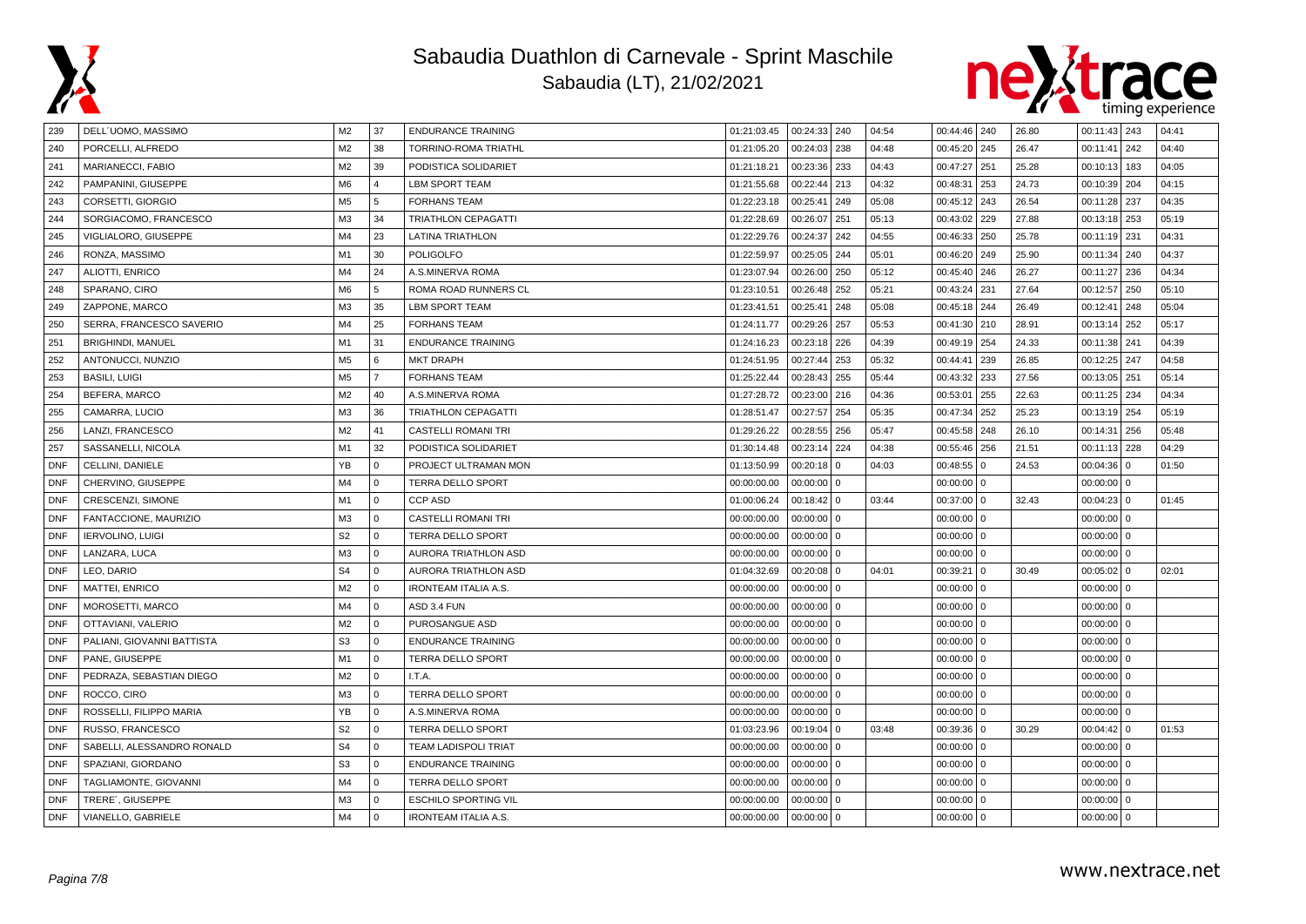



| 239        | DELL'UOMO, MASSIMO         | M <sub>2</sub> | 37             | <b>ENDURANCE TRAINING</b>   | 01:21:03.45 | 00:24:33 240 |                | 04:54 | 00:44:46 240 |              | 26.80 | $00:11:43$ 243 |     | 04:41 |
|------------|----------------------------|----------------|----------------|-----------------------------|-------------|--------------|----------------|-------|--------------|--------------|-------|----------------|-----|-------|
| 240        | PORCELLI, ALFREDO          | M <sub>2</sub> | 38             | TORRINO-ROMA TRIATHL        | 01:21:05.20 | 00:24:03     | 238            | 04:48 | 00:45:20     | 245          | 26.47 | 00:11:41       | 242 | 04:40 |
| 241        | MARIANECCI, FABIO          | M <sub>2</sub> | 39             | PODISTICA SOLIDARIET        | 01:21:18.21 | 00:23:36     | 233            | 04:43 | 00:47:27     | 251          | 25.28 | 00:10:13       | 183 | 04:05 |
| 242        | PAMPANINI, GIUSEPPE        | M <sub>6</sub> | $\overline{4}$ | <b>LBM SPORT TEAM</b>       | 01:21:55.68 | 00:22:44     | 213            | 04:32 | 00:48:31     | 253          | 24.73 | 00:10:39   204 |     | 04:15 |
| 243        | CORSETTI, GIORGIO          | M <sub>5</sub> | 5              | <b>FORHANS TEAM</b>         | 01:22:23.18 | 00:25:41     | 249            | 05:08 | 00:45:12     | 243          | 26.54 | 00:11:28 237   |     | 04:35 |
| 244        | SORGIACOMO, FRANCESCO      | M <sub>3</sub> | 34             | <b>TRIATHLON CEPAGATTI</b>  | 01:22:28.69 | 00:26:07     | 251            | 05:13 | 00:43:02     | 229          | 27.88 | 00:13:18   253 |     | 05:19 |
| 245        | VIGLIALORO, GIUSEPPE       | M4             | 23             | <b>LATINA TRIATHLON</b>     | 01:22:29.76 | 00:24:37     | 242            | 04:55 | 00:46:33     | 250          | 25.78 | 00:11:19 231   |     | 04:31 |
| 246        | RONZA, MASSIMO             | M1             | 30             | <b>POLIGOLFO</b>            | 01:22:59.97 | 00:25:05     | 244            | 05:01 | 00:46:20     | 249          | 25.90 | 00:11:34 240   |     | 04:37 |
| 247        | ALIOTTI, ENRICO            | M4             | 24             | A.S.MINERVA ROMA            | 01:23:07.94 | 00:26:00     | 250            | 05:12 | 00:45:40     | 246          | 26.27 | 00:11:27   236 |     | 04:34 |
| 248        | SPARANO, CIRO              | M <sub>6</sub> | 5              | ROMA ROAD RUNNERS CL        | 01:23:10.51 | 00:26:48     | 252            | 05:21 | 00:43:24     | 231          | 27.64 | 00:12:57       | 250 | 05:10 |
| 249        | ZAPPONE, MARCO             | M <sub>3</sub> | 35             | LBM SPORT TEAM              | 01:23:41.51 | 00:25:41     | 248            | 05:08 | 00:45:18     | 244          | 26.49 | 00:12:41       | 248 | 05:04 |
| 250        | SERRA, FRANCESCO SAVERIO   | M4             | 25             | <b>FORHANS TEAM</b>         | 01:24:11.77 | 00:29:26     | 257            | 05:53 | 00:41:30     | 210          | 28.91 | 00:13:14 252   |     | 05:17 |
| 251        | <b>BRIGHINDI, MANUEL</b>   | M1             | 31             | <b>ENDURANCE TRAINING</b>   | 01:24:16.23 | 00:23:18     | 226            | 04:39 | 00:49:19     | 254          | 24.33 | 00:11:38 241   |     | 04:39 |
| 252        | ANTONUCCI, NUNZIO          | M <sub>5</sub> | 6              | <b>MKT DRAPH</b>            | 01:24:51.95 | 00:27:44     | 253            | 05:32 | 00:44:41     | 239          | 26.85 | 00:12:25 247   |     | 04:58 |
| 253        | <b>BASILI, LUIGI</b>       | M <sub>5</sub> | $\overline{7}$ | <b>FORHANS TEAM</b>         | 01:25:22.44 | 00:28:43     | 255            | 05:44 | 00:43:32     | 233          | 27.56 | 00:13:05   251 |     | 05:14 |
| 254        | BEFERA, MARCO              | M <sub>2</sub> | 40             | A.S.MINERVA ROMA            | 01:27:28.72 | 00:23:00     | 216            | 04:36 | 00:53:01     | 255          | 22.63 | 00:11:25   234 |     | 04:34 |
| 255        | CAMARRA, LUCIO             | M <sub>3</sub> | 36             | <b>TRIATHLON CEPAGATTI</b>  | 01:28:51.47 | 00:27:57     | 254            | 05:35 | 00:47:34     | 252          | 25.23 | 00:13:19   254 |     | 05:19 |
| 256        | LANZI, FRANCESCO           | M <sub>2</sub> | 41             | <b>CASTELLI ROMANI TRI</b>  | 01:29:26.22 | 00:28:55     | 256            | 05:47 | 00:45:58     | 248          | 26.10 | 00:14:31       | 256 | 05:48 |
| 257        | SASSANELLI, NICOLA         | M1             | 32             | PODISTICA SOLIDARIET        | 01:30:14.48 | 00:23:14     | 224            | 04:38 | 00:55:46     | 256          | 21.51 | 00:11:13 228   |     | 04:29 |
| <b>DNF</b> | CELLINI, DANIELE           | YB             | $\mathbf 0$    | PROJECT ULTRAMAN MON        | 01:13:50.99 | 00:20:18     | $\Omega$       | 04:03 | 00:48:55     | $\mathbf 0$  | 24.53 | 00:04:36       | 0   | 01:50 |
| <b>DNF</b> | CHERVINO, GIUSEPPE         | M4             | $\Omega$       | TERRA DELLO SPORT           | 00:00:00.00 | 00:00:00     | $\Omega$       |       | $00:00:00$ 0 |              |       | $00:00:00$ 0   |     |       |
| <b>DNF</b> | CRESCENZI, SIMONE          | M1             | $\mathbf 0$    | <b>CCP ASD</b>              | 01:00:06.24 | 00:18:42     | $\Omega$       | 03:44 | 00:37:00 0   |              | 32.43 | $00:04:23$ 0   |     | 01:45 |
| <b>DNF</b> | FANTACCIONE, MAURIZIO      | M <sub>3</sub> | $\Omega$       | <b>CASTELLI ROMANI TRI</b>  | 00:00:00.00 | 00:00:00     | $\Omega$       |       | 00:00:00     | $^{\circ}$   |       | $00:00:00$ 0   |     |       |
| <b>DNF</b> | <b>IERVOLINO, LUIGI</b>    | S <sub>2</sub> | $\Omega$       | <b>TERRA DELLO SPORT</b>    | 00:00:00.00 | 00:00:00     | $\Omega$       |       | 00:00:00     | $\mathbf{0}$ |       | $00:00:00$ 0   |     |       |
| <b>DNF</b> | LANZARA, LUCA              | M <sub>3</sub> | $\mathbf 0$    | AURORA TRIATHLON ASD        | 00:00:00.00 | 00:00:00     | $\Omega$       |       | 00:00:00     | 0            |       | $00:00:00$ 0   |     |       |
| <b>DNF</b> | LEO, DARIO                 | S <sub>4</sub> | $\Omega$       | AURORA TRIATHLON ASD        | 01:04:32.69 | 00:20:08     | $\Omega$       | 04:01 | 00:39:21     | $\mathbf{0}$ | 30.49 | $00:05:02$ 0   |     | 02:01 |
| <b>DNF</b> | MATTEI, ENRICO             | M <sub>2</sub> | $\Omega$       | <b>IRONTEAM ITALIA A.S.</b> | 00:00:00.00 | 00:00:00     | $\overline{0}$ |       | 00:00:00     | $\mathbf 0$  |       | $00:00:00$ 0   |     |       |
| <b>DNF</b> | <b>MOROSETTI, MARCO</b>    | M4             | $\Omega$       | ASD 3.4 FUN                 | 00:00:00.00 | 00:00:00     | $\Omega$       |       | 00:00:00     | $\mathbf 0$  |       | $00:00:00$ 0   |     |       |
| <b>DNF</b> | OTTAVIANI, VALERIO         | M <sub>2</sub> | $\Omega$       | PUROSANGUE ASD              | 00:00:00.00 | 00:00:00     | $\Omega$       |       | 00:00:00     | $^{\circ}$   |       | $00:00:00$ 0   |     |       |
| <b>DNF</b> | PALIANI, GIOVANNI BATTISTA | S <sub>3</sub> | $\mathbf 0$    | <b>ENDURANCE TRAINING</b>   | 00:00:00.00 | 00:00:00     | $\overline{0}$ |       | $00:00:00$ 0 |              |       | $00:00:00$ 0   |     |       |
| <b>DNF</b> | PANE, GIUSEPPE             | M1             | $\mathbf 0$    | <b>TERRA DELLO SPORT</b>    | 00:00:00.00 | 00:00:00     | $\overline{0}$ |       | $00:00:00$ 0 |              |       | $00:00:00$ 0   |     |       |
| <b>DNF</b> | PEDRAZA, SEBASTIAN DIEGO   | M <sub>2</sub> | $\mathbf 0$    | I.T.A.                      | 00:00:00.00 | 00:00:00     | $\Omega$       |       | 00:00:00     | $\mathbf 0$  |       | $00:00:00$ 0   |     |       |
| <b>DNF</b> | ROCCO, CIRO                | M <sub>3</sub> | $\Omega$       | <b>TERRA DELLO SPORT</b>    | 00:00:00.00 | 00:00:00     | $\mathbf 0$    |       | 00:00:00     | 0            |       | $00:00:00$ 0   |     |       |
| <b>DNF</b> | ROSSELLI, FILIPPO MARIA    | YB             | $\mathbf 0$    | A.S.MINERVA ROMA            | 00:00:00.00 | 00:00:00     | $\Omega$       |       | $00:00:00$ 0 |              |       | $00:00:00$ 0   |     |       |
| <b>DNF</b> | RUSSO, FRANCESCO           | S <sub>2</sub> | $\mathbf 0$    | <b>TERRA DELLO SPORT</b>    | 01:03:23.96 | 00:19:04     | $\Omega$       | 03:48 | 00:39:36     | $\mathbf{0}$ | 30.29 | $00:04:42$ 0   |     | 01:53 |
| <b>DNF</b> | SABELLI, ALESSANDRO RONALD | S <sub>4</sub> | $\Omega$       | <b>TEAM LADISPOLI TRIAT</b> | 00:00:00.00 | 00:00:00     | $\Omega$       |       | 00:00:00     | $^{\circ}$   |       | $00:00:00$ 0   |     |       |
| <b>DNF</b> | SPAZIANI, GIORDANO         | S <sub>3</sub> | $\Omega$       | <b>ENDURANCE TRAINING</b>   | 00:00:00.00 | 00:00:00     | $\Omega$       |       | 00:00:00     | $\mathbf 0$  |       | $00:00:00$ 0   |     |       |
| <b>DNF</b> | TAGLIAMONTE, GIOVANNI      | M4             | $\Omega$       | TERRA DELLO SPORT           | 00:00:00.00 | 00:00:00     | $\Omega$       |       | $00:00:00$ 0 |              |       | $00:00:00$ 0   |     |       |
| <b>DNF</b> | TRERE', GIUSEPPE           | M <sub>3</sub> | $\mathbf{0}$   | <b>ESCHILO SPORTING VIL</b> | 00:00:00.00 | 00:00:00     | $\Omega$       |       | 00:00:00     | $\mathbf{0}$ |       | $00:00:00$ 0   |     |       |
| <b>DNF</b> | VIANELLO, GABRIELE         | M4             | $\Omega$       | <b>IRONTEAM ITALIA A.S.</b> | 00:00:00.00 | $00:00:00$ 0 |                |       | $00:00:00$ 0 |              |       | $00:00:00$ 0   |     |       |